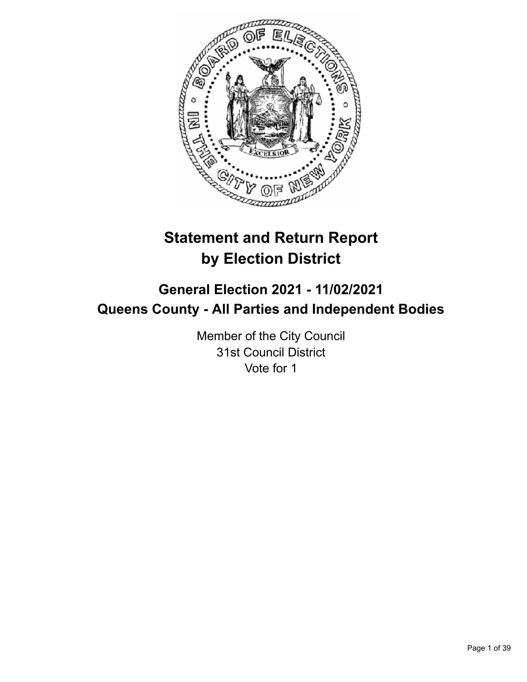

# **Statement and Return Report by Election District**

# **General Election 2021 - 11/02/2021 Queens County - All Parties and Independent Bodies**

Member of the City Council 31st Council District Vote for 1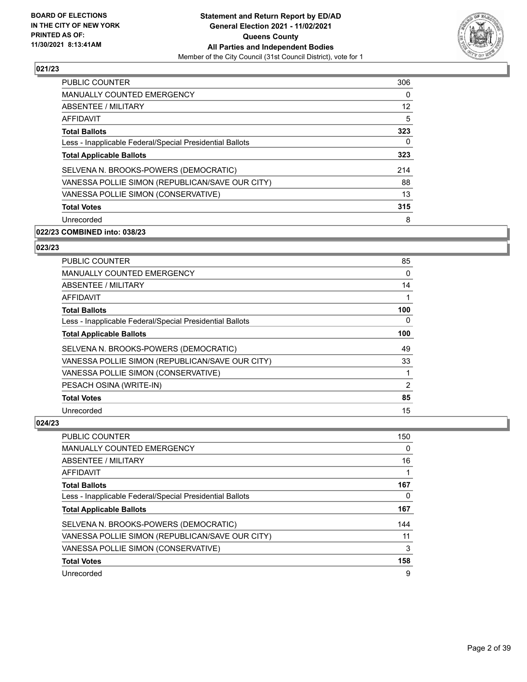

| <b>PUBLIC COUNTER</b>                                    | 306 |
|----------------------------------------------------------|-----|
| <b>MANUALLY COUNTED EMERGENCY</b>                        | 0   |
| <b>ABSENTEE / MILITARY</b>                               | 12  |
| <b>AFFIDAVIT</b>                                         | 5   |
| <b>Total Ballots</b>                                     | 323 |
| Less - Inapplicable Federal/Special Presidential Ballots | 0   |
| <b>Total Applicable Ballots</b>                          | 323 |
| SELVENA N. BROOKS-POWERS (DEMOCRATIC)                    | 214 |
| VANESSA POLLIE SIMON (REPUBLICAN/SAVE OUR CITY)          | 88  |
| VANESSA POLLIE SIMON (CONSERVATIVE)                      | 13  |
| <b>Total Votes</b>                                       | 315 |
| Unrecorded                                               | 8   |

# **022/23 COMBINED into: 038/23**

# **023/23**

| <b>PUBLIC COUNTER</b>                                    | 85  |
|----------------------------------------------------------|-----|
| <b>MANUALLY COUNTED EMERGENCY</b>                        | 0   |
| ABSENTEE / MILITARY                                      | 14  |
| AFFIDAVIT                                                | 1   |
| <b>Total Ballots</b>                                     | 100 |
| Less - Inapplicable Federal/Special Presidential Ballots | 0   |
| <b>Total Applicable Ballots</b>                          | 100 |
| SELVENA N. BROOKS-POWERS (DEMOCRATIC)                    | 49  |
| VANESSA POLLIE SIMON (REPUBLICAN/SAVE OUR CITY)          | 33  |
| VANESSA POLLIE SIMON (CONSERVATIVE)                      |     |
| PESACH OSINA (WRITE-IN)                                  | 2   |
| <b>Total Votes</b>                                       | 85  |
| Unrecorded                                               | 15  |

| <b>PUBLIC COUNTER</b>                                    | 150 |
|----------------------------------------------------------|-----|
| <b>MANUALLY COUNTED EMERGENCY</b>                        | 0   |
| ABSENTEE / MILITARY                                      | 16  |
| AFFIDAVIT                                                |     |
| <b>Total Ballots</b>                                     | 167 |
| Less - Inapplicable Federal/Special Presidential Ballots | 0   |
| <b>Total Applicable Ballots</b>                          | 167 |
| SELVENA N. BROOKS-POWERS (DEMOCRATIC)                    | 144 |
| VANESSA POLLIE SIMON (REPUBLICAN/SAVE OUR CITY)          | 11  |
| VANESSA POLLIE SIMON (CONSERVATIVE)                      | 3   |
| <b>Total Votes</b>                                       | 158 |
| Unrecorded                                               | 9   |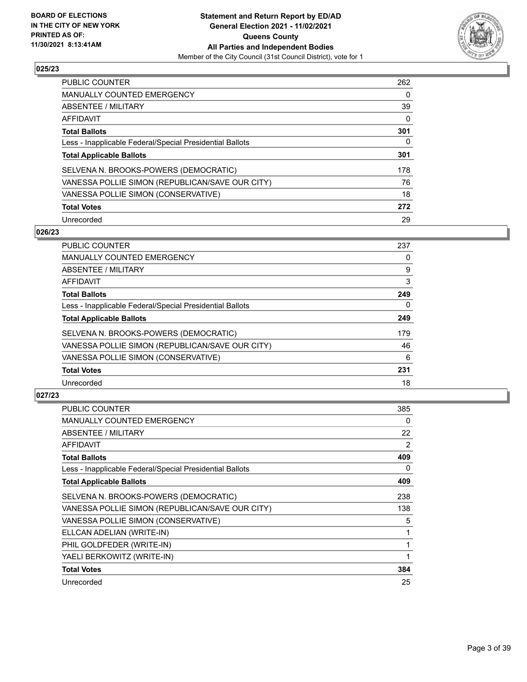

| <b>PUBLIC COUNTER</b>                                    | 262 |
|----------------------------------------------------------|-----|
| <b>MANUALLY COUNTED EMERGENCY</b>                        | 0   |
| ABSENTEE / MILITARY                                      | 39  |
| AFFIDAVIT                                                | 0   |
| <b>Total Ballots</b>                                     | 301 |
| Less - Inapplicable Federal/Special Presidential Ballots | 0   |
| <b>Total Applicable Ballots</b>                          | 301 |
| SELVENA N. BROOKS-POWERS (DEMOCRATIC)                    | 178 |
| VANESSA POLLIE SIMON (REPUBLICAN/SAVE OUR CITY)          | 76  |
| VANESSA POLLIE SIMON (CONSERVATIVE)                      | 18  |
| <b>Total Votes</b>                                       | 272 |
| Unrecorded                                               | 29  |

#### **026/23**

| <b>PUBLIC COUNTER</b>                                    | 237      |
|----------------------------------------------------------|----------|
| <b>MANUALLY COUNTED EMERGENCY</b>                        | 0        |
| ABSENTEE / MILITARY                                      | 9        |
| <b>AFFIDAVIT</b>                                         | 3        |
| <b>Total Ballots</b>                                     | 249      |
| Less - Inapplicable Federal/Special Presidential Ballots | $\Omega$ |
| <b>Total Applicable Ballots</b>                          | 249      |
| SELVENA N. BROOKS-POWERS (DEMOCRATIC)                    | 179      |
| VANESSA POLLIE SIMON (REPUBLICAN/SAVE OUR CITY)          | 46       |
| VANESSA POLLIE SIMON (CONSERVATIVE)                      | 6        |
| <b>Total Votes</b>                                       | 231      |
| Unrecorded                                               | 18       |

| <b>PUBLIC COUNTER</b>                                    | 385 |
|----------------------------------------------------------|-----|
| <b>MANUALLY COUNTED EMERGENCY</b>                        | 0   |
| ABSENTEE / MILITARY                                      | 22  |
| AFFIDAVIT                                                | 2   |
| <b>Total Ballots</b>                                     | 409 |
| Less - Inapplicable Federal/Special Presidential Ballots | 0   |
| <b>Total Applicable Ballots</b>                          | 409 |
| SELVENA N. BROOKS-POWERS (DEMOCRATIC)                    | 238 |
| VANESSA POLLIE SIMON (REPUBLICAN/SAVE OUR CITY)          | 138 |
| VANESSA POLLIE SIMON (CONSERVATIVE)                      | 5   |
| ELLCAN ADELIAN (WRITE-IN)                                | 1   |
| PHIL GOLDFEDER (WRITE-IN)                                | 1   |
| YAELI BERKOWITZ (WRITE-IN)                               | 1   |
| <b>Total Votes</b>                                       | 384 |
| Unrecorded                                               | 25  |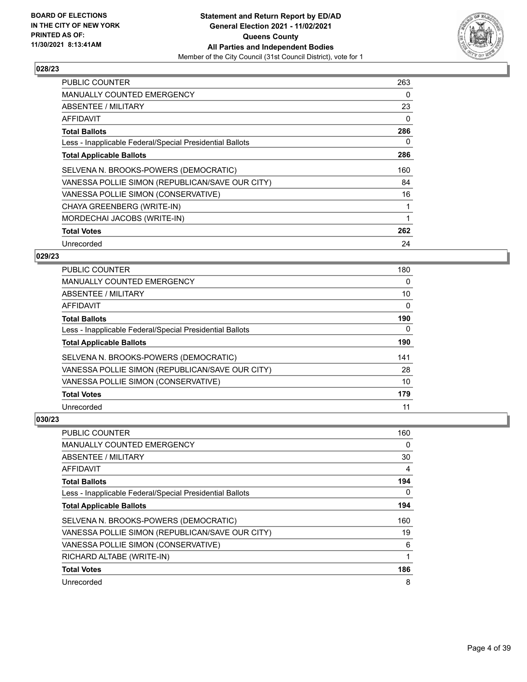

| <b>PUBLIC COUNTER</b>                                    | 263 |
|----------------------------------------------------------|-----|
| <b>MANUALLY COUNTED EMERGENCY</b>                        | 0   |
| ABSENTEE / MILITARY                                      | 23  |
| AFFIDAVIT                                                | 0   |
| <b>Total Ballots</b>                                     | 286 |
| Less - Inapplicable Federal/Special Presidential Ballots | 0   |
| <b>Total Applicable Ballots</b>                          | 286 |
| SELVENA N. BROOKS-POWERS (DEMOCRATIC)                    | 160 |
| VANESSA POLLIE SIMON (REPUBLICAN/SAVE OUR CITY)          | 84  |
| VANESSA POLLIE SIMON (CONSERVATIVE)                      | 16  |
| CHAYA GREENBERG (WRITE-IN)                               | 1   |
| MORDECHAI JACOBS (WRITE-IN)                              | 1   |
| <b>Total Votes</b>                                       | 262 |
| Unrecorded                                               | 24  |

## **029/23**

| <b>PUBLIC COUNTER</b>                                    | 180      |
|----------------------------------------------------------|----------|
| <b>MANUALLY COUNTED EMERGENCY</b>                        | 0        |
| ABSENTEE / MILITARY                                      | 10       |
| AFFIDAVIT                                                | $\Omega$ |
| <b>Total Ballots</b>                                     | 190      |
| Less - Inapplicable Federal/Special Presidential Ballots | 0        |
| <b>Total Applicable Ballots</b>                          | 190      |
| SELVENA N. BROOKS-POWERS (DEMOCRATIC)                    | 141      |
| VANESSA POLLIE SIMON (REPUBLICAN/SAVE OUR CITY)          | 28       |
| VANESSA POLLIE SIMON (CONSERVATIVE)                      | 10       |
| <b>Total Votes</b>                                       | 179      |
| Unrecorded                                               | 11       |

| <b>PUBLIC COUNTER</b>                                    | 160 |
|----------------------------------------------------------|-----|
| <b>MANUALLY COUNTED EMERGENCY</b>                        | 0   |
| ABSENTEE / MILITARY                                      | 30  |
| AFFIDAVIT                                                | 4   |
| <b>Total Ballots</b>                                     | 194 |
| Less - Inapplicable Federal/Special Presidential Ballots | 0   |
| <b>Total Applicable Ballots</b>                          | 194 |
| SELVENA N. BROOKS-POWERS (DEMOCRATIC)                    | 160 |
| VANESSA POLLIE SIMON (REPUBLICAN/SAVE OUR CITY)          | 19  |
| VANESSA POLLIE SIMON (CONSERVATIVE)                      | 6   |
| RICHARD ALTABE (WRITE-IN)                                | 1   |
| <b>Total Votes</b>                                       | 186 |
| Unrecorded                                               | 8   |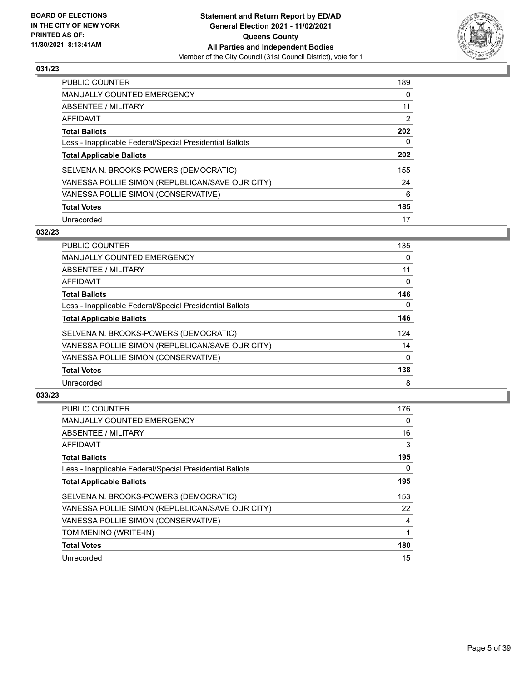

| <b>PUBLIC COUNTER</b>                                    | 189 |
|----------------------------------------------------------|-----|
| <b>MANUALLY COUNTED EMERGENCY</b>                        | 0   |
| ABSENTEE / MILITARY                                      | 11  |
| AFFIDAVIT                                                | 2   |
| <b>Total Ballots</b>                                     | 202 |
| Less - Inapplicable Federal/Special Presidential Ballots | 0   |
| <b>Total Applicable Ballots</b>                          | 202 |
| SELVENA N. BROOKS-POWERS (DEMOCRATIC)                    | 155 |
| VANESSA POLLIE SIMON (REPUBLICAN/SAVE OUR CITY)          | 24  |
| VANESSA POLLIE SIMON (CONSERVATIVE)                      | 6   |
| <b>Total Votes</b>                                       | 185 |
| Unrecorded                                               | 17  |

#### **032/23**

| <b>PUBLIC COUNTER</b>                                    | 135      |
|----------------------------------------------------------|----------|
| <b>MANUALLY COUNTED EMERGENCY</b>                        | $\Omega$ |
| ABSENTEE / MILITARY                                      | 11       |
| AFFIDAVIT                                                | $\Omega$ |
| <b>Total Ballots</b>                                     | 146      |
| Less - Inapplicable Federal/Special Presidential Ballots | $\Omega$ |
| <b>Total Applicable Ballots</b>                          | 146      |
| SELVENA N. BROOKS-POWERS (DEMOCRATIC)                    | 124      |
| VANESSA POLLIE SIMON (REPUBLICAN/SAVE OUR CITY)          | 14       |
| VANESSA POLLIE SIMON (CONSERVATIVE)                      | $\Omega$ |
| <b>Total Votes</b>                                       | 138      |
| Unrecorded                                               | 8        |

| <b>PUBLIC COUNTER</b>                                    | 176 |
|----------------------------------------------------------|-----|
| <b>MANUALLY COUNTED EMERGENCY</b>                        | 0   |
| ABSENTEE / MILITARY                                      | 16  |
| AFFIDAVIT                                                | 3   |
| <b>Total Ballots</b>                                     | 195 |
| Less - Inapplicable Federal/Special Presidential Ballots | 0   |
| <b>Total Applicable Ballots</b>                          | 195 |
| SELVENA N. BROOKS-POWERS (DEMOCRATIC)                    | 153 |
| VANESSA POLLIE SIMON (REPUBLICAN/SAVE OUR CITY)          | 22  |
| VANESSA POLLIE SIMON (CONSERVATIVE)                      | 4   |
| TOM MENINO (WRITE-IN)                                    |     |
| <b>Total Votes</b>                                       | 180 |
| Unrecorded                                               | 15  |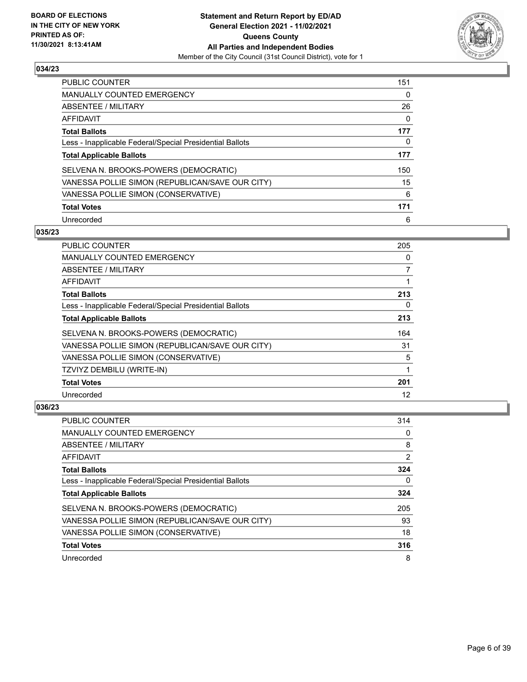

| <b>PUBLIC COUNTER</b>                                    | 151 |
|----------------------------------------------------------|-----|
| <b>MANUALLY COUNTED EMERGENCY</b>                        | 0   |
| ABSENTEE / MILITARY                                      | 26  |
| AFFIDAVIT                                                | 0   |
| <b>Total Ballots</b>                                     | 177 |
| Less - Inapplicable Federal/Special Presidential Ballots | 0   |
| <b>Total Applicable Ballots</b>                          | 177 |
| SELVENA N. BROOKS-POWERS (DEMOCRATIC)                    | 150 |
| VANESSA POLLIE SIMON (REPUBLICAN/SAVE OUR CITY)          | 15  |
| VANESSA POLLIE SIMON (CONSERVATIVE)                      | 6   |
| <b>Total Votes</b>                                       | 171 |
| Unrecorded                                               | 6   |

#### **035/23**

| <b>PUBLIC COUNTER</b>                                    | 205 |
|----------------------------------------------------------|-----|
| <b>MANUALLY COUNTED EMERGENCY</b>                        | 0   |
| ABSENTEE / MILITARY                                      | 7   |
| AFFIDAVIT                                                |     |
| <b>Total Ballots</b>                                     | 213 |
| Less - Inapplicable Federal/Special Presidential Ballots | 0   |
| <b>Total Applicable Ballots</b>                          | 213 |
| SELVENA N. BROOKS-POWERS (DEMOCRATIC)                    | 164 |
| VANESSA POLLIE SIMON (REPUBLICAN/SAVE OUR CITY)          | 31  |
| VANESSA POLLIE SIMON (CONSERVATIVE)                      | 5   |
| TZVIYZ DEMBILU (WRITE-IN)                                | 1   |
| <b>Total Votes</b>                                       | 201 |
| Unrecorded                                               | 12  |

| PUBLIC COUNTER                                           | 314 |
|----------------------------------------------------------|-----|
| <b>MANUALLY COUNTED EMERGENCY</b>                        | 0   |
| ABSENTEE / MILITARY                                      | 8   |
| AFFIDAVIT                                                | 2   |
| <b>Total Ballots</b>                                     | 324 |
| Less - Inapplicable Federal/Special Presidential Ballots | 0   |
| <b>Total Applicable Ballots</b>                          | 324 |
| SELVENA N. BROOKS-POWERS (DEMOCRATIC)                    | 205 |
| VANESSA POLLIE SIMON (REPUBLICAN/SAVE OUR CITY)          | 93  |
| VANESSA POLLIE SIMON (CONSERVATIVE)                      | 18  |
| <b>Total Votes</b>                                       | 316 |
| Unrecorded                                               | 8   |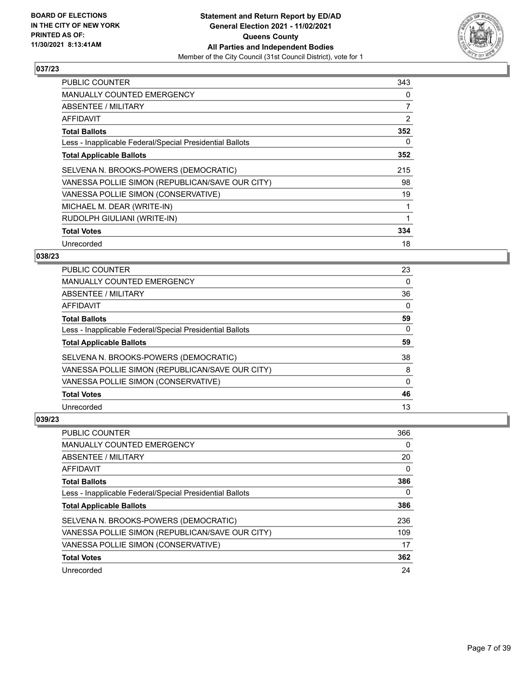

| <b>PUBLIC COUNTER</b>                                    | 343 |
|----------------------------------------------------------|-----|
| <b>MANUALLY COUNTED EMERGENCY</b>                        | 0   |
| <b>ABSENTEE / MILITARY</b>                               | 7   |
| AFFIDAVIT                                                | 2   |
| <b>Total Ballots</b>                                     | 352 |
| Less - Inapplicable Federal/Special Presidential Ballots | 0   |
| <b>Total Applicable Ballots</b>                          | 352 |
| SELVENA N. BROOKS-POWERS (DEMOCRATIC)                    | 215 |
| VANESSA POLLIE SIMON (REPUBLICAN/SAVE OUR CITY)          | 98  |
| VANESSA POLLIE SIMON (CONSERVATIVE)                      | 19  |
| MICHAEL M. DEAR (WRITE-IN)                               | 1   |
| RUDOLPH GIULIANI (WRITE-IN)                              | 1   |
| <b>Total Votes</b>                                       | 334 |
| Unrecorded                                               | 18  |

## **038/23**

| <b>PUBLIC COUNTER</b>                                    | 23       |
|----------------------------------------------------------|----------|
| MANUALLY COUNTED EMERGENCY                               | 0        |
| ABSENTEE / MILITARY                                      | 36       |
| <b>AFFIDAVIT</b>                                         | $\Omega$ |
| <b>Total Ballots</b>                                     | 59       |
| Less - Inapplicable Federal/Special Presidential Ballots | $\Omega$ |
| <b>Total Applicable Ballots</b>                          | 59       |
| SELVENA N. BROOKS-POWERS (DEMOCRATIC)                    | 38       |
| VANESSA POLLIE SIMON (REPUBLICAN/SAVE OUR CITY)          | 8        |
| VANESSA POLLIE SIMON (CONSERVATIVE)                      | 0        |
| <b>Total Votes</b>                                       | 46       |
| Unrecorded                                               | 13       |

| <b>PUBLIC COUNTER</b>                                    | 366 |
|----------------------------------------------------------|-----|
| MANUALLY COUNTED EMERGENCY                               | 0   |
| ABSENTEE / MILITARY                                      | 20  |
| AFFIDAVIT                                                | 0   |
| <b>Total Ballots</b>                                     | 386 |
| Less - Inapplicable Federal/Special Presidential Ballots | 0   |
| <b>Total Applicable Ballots</b>                          | 386 |
| SELVENA N. BROOKS-POWERS (DEMOCRATIC)                    | 236 |
| VANESSA POLLIE SIMON (REPUBLICAN/SAVE OUR CITY)          | 109 |
| VANESSA POLLIE SIMON (CONSERVATIVE)                      | 17  |
| <b>Total Votes</b>                                       | 362 |
| Unrecorded                                               | 24  |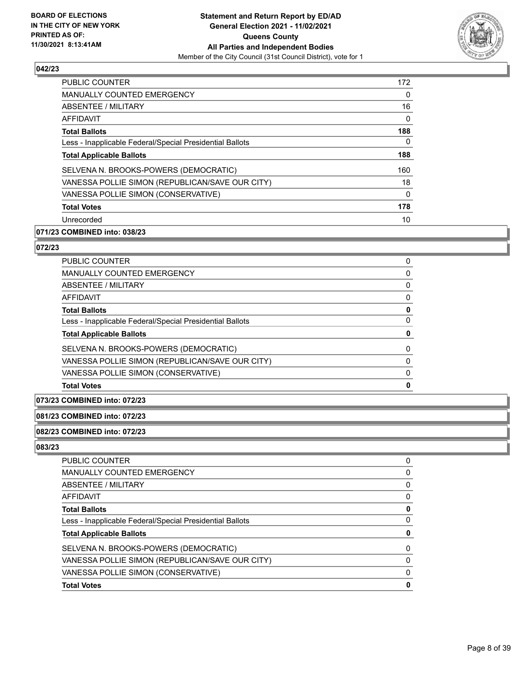

| <b>PUBLIC COUNTER</b>                                    | 172 |
|----------------------------------------------------------|-----|
| <b>MANUALLY COUNTED EMERGENCY</b>                        | 0   |
| ABSENTEE / MILITARY                                      | 16  |
| <b>AFFIDAVIT</b>                                         | 0   |
| <b>Total Ballots</b>                                     | 188 |
| Less - Inapplicable Federal/Special Presidential Ballots | 0   |
| <b>Total Applicable Ballots</b>                          | 188 |
| SELVENA N. BROOKS-POWERS (DEMOCRATIC)                    | 160 |
| VANESSA POLLIE SIMON (REPUBLICAN/SAVE OUR CITY)          | 18  |
| VANESSA POLLIE SIMON (CONSERVATIVE)                      | 0   |
| <b>Total Votes</b>                                       | 178 |
| Unrecorded                                               | 10  |

# **071/23 COMBINED into: 038/23**

# **072/23**

| <b>Total Votes</b>                                       | 0        |
|----------------------------------------------------------|----------|
| VANESSA POLLIE SIMON (CONSERVATIVE)                      | 0        |
| VANESSA POLLIE SIMON (REPUBLICAN/SAVE OUR CITY)          | $\Omega$ |
| SELVENA N. BROOKS-POWERS (DEMOCRATIC)                    | 0        |
| <b>Total Applicable Ballots</b>                          | 0        |
| Less - Inapplicable Federal/Special Presidential Ballots | 0        |
| <b>Total Ballots</b>                                     | 0        |
| AFFIDAVIT                                                | 0        |
| ABSENTEE / MILITARY                                      | $\Omega$ |
| MANUALLY COUNTED EMERGENCY                               | 0        |
| <b>PUBLIC COUNTER</b>                                    | 0        |

## **073/23 COMBINED into: 072/23**

#### **081/23 COMBINED into: 072/23**

#### **082/23 COMBINED into: 072/23**

| <b>Total Votes</b>                                       | 0        |
|----------------------------------------------------------|----------|
| VANESSA POLLIE SIMON (CONSERVATIVE)                      | $\Omega$ |
| VANESSA POLLIE SIMON (REPUBLICAN/SAVE OUR CITY)          | $\Omega$ |
| SELVENA N. BROOKS-POWERS (DEMOCRATIC)                    | 0        |
| <b>Total Applicable Ballots</b>                          | 0        |
| Less - Inapplicable Federal/Special Presidential Ballots | $\Omega$ |
| <b>Total Ballots</b>                                     | 0        |
| AFFIDAVIT                                                | $\Omega$ |
| <b>ABSENTEE / MILITARY</b>                               | $\Omega$ |
| <b>MANUALLY COUNTED EMERGENCY</b>                        | 0        |
| PUBLIC COUNTER                                           | 0        |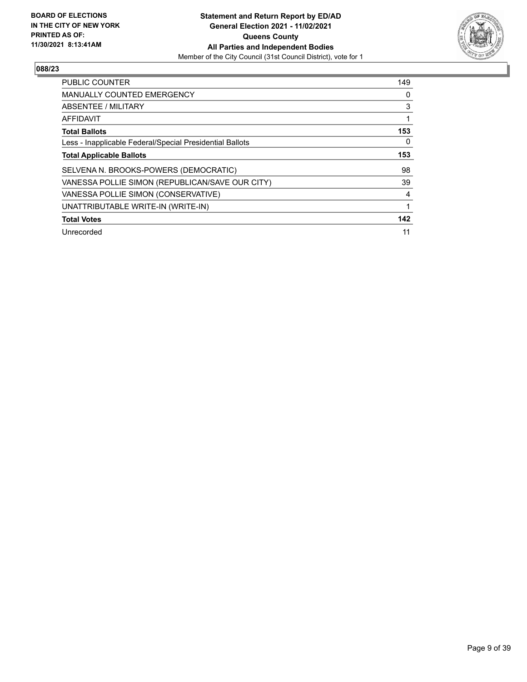

| <b>PUBLIC COUNTER</b>                                    | 149 |
|----------------------------------------------------------|-----|
| <b>MANUALLY COUNTED EMERGENCY</b>                        | 0   |
| ABSENTEE / MILITARY                                      | 3   |
| AFFIDAVIT                                                |     |
| <b>Total Ballots</b>                                     | 153 |
| Less - Inapplicable Federal/Special Presidential Ballots | 0   |
| <b>Total Applicable Ballots</b>                          | 153 |
| SELVENA N. BROOKS-POWERS (DEMOCRATIC)                    | 98  |
| VANESSA POLLIE SIMON (REPUBLICAN/SAVE OUR CITY)          | 39  |
| VANESSA POLLIE SIMON (CONSERVATIVE)                      | 4   |
| UNATTRIBUTABLE WRITE-IN (WRITE-IN)                       | 1   |
| <b>Total Votes</b>                                       | 142 |
| Unrecorded                                               | 11  |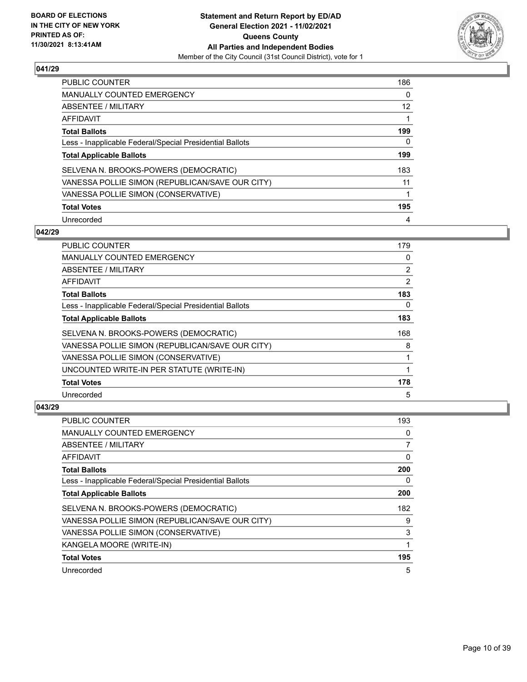

| PUBLIC COUNTER                                           | 186 |
|----------------------------------------------------------|-----|
| <b>MANUALLY COUNTED EMERGENCY</b>                        | 0   |
| ABSENTEE / MILITARY                                      | 12  |
| AFFIDAVIT                                                |     |
| <b>Total Ballots</b>                                     | 199 |
| Less - Inapplicable Federal/Special Presidential Ballots | 0   |
| <b>Total Applicable Ballots</b>                          | 199 |
| SELVENA N. BROOKS-POWERS (DEMOCRATIC)                    | 183 |
| VANESSA POLLIE SIMON (REPUBLICAN/SAVE OUR CITY)          | 11  |
| VANESSA POLLIE SIMON (CONSERVATIVE)                      |     |
| <b>Total Votes</b>                                       | 195 |
| Unrecorded                                               | 4   |

#### **042/29**

| PUBLIC COUNTER                                           | 179      |
|----------------------------------------------------------|----------|
| <b>MANUALLY COUNTED EMERGENCY</b>                        | $\Omega$ |
| ABSENTEE / MILITARY                                      | 2        |
| AFFIDAVIT                                                | 2        |
| <b>Total Ballots</b>                                     | 183      |
| Less - Inapplicable Federal/Special Presidential Ballots | $\Omega$ |
| <b>Total Applicable Ballots</b>                          | 183      |
| SELVENA N. BROOKS-POWERS (DEMOCRATIC)                    | 168      |
| VANESSA POLLIE SIMON (REPUBLICAN/SAVE OUR CITY)          | 8        |
| VANESSA POLLIE SIMON (CONSERVATIVE)                      |          |
| UNCOUNTED WRITE-IN PER STATUTE (WRITE-IN)                | 1        |
| <b>Total Votes</b>                                       | 178      |
| Unrecorded                                               | 5        |

| <b>PUBLIC COUNTER</b>                                    | 193 |
|----------------------------------------------------------|-----|
| <b>MANUALLY COUNTED EMERGENCY</b>                        | 0   |
| ABSENTEE / MILITARY                                      | 7   |
| AFFIDAVIT                                                | 0   |
| <b>Total Ballots</b>                                     | 200 |
| Less - Inapplicable Federal/Special Presidential Ballots | 0   |
| <b>Total Applicable Ballots</b>                          | 200 |
| SELVENA N. BROOKS-POWERS (DEMOCRATIC)                    | 182 |
| VANESSA POLLIE SIMON (REPUBLICAN/SAVE OUR CITY)          | 9   |
| VANESSA POLLIE SIMON (CONSERVATIVE)                      | 3   |
| KANGELA MOORE (WRITE-IN)                                 | 1   |
| <b>Total Votes</b>                                       | 195 |
| Unrecorded                                               | 5   |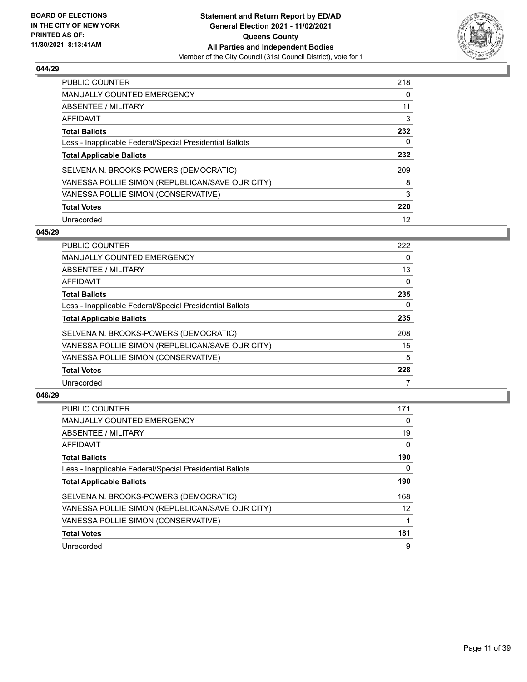

| PUBLIC COUNTER                                           | 218 |
|----------------------------------------------------------|-----|
| <b>MANUALLY COUNTED EMERGENCY</b>                        | 0   |
| ABSENTEE / MILITARY                                      | 11  |
| AFFIDAVIT                                                | 3   |
| <b>Total Ballots</b>                                     | 232 |
| Less - Inapplicable Federal/Special Presidential Ballots | 0   |
| <b>Total Applicable Ballots</b>                          | 232 |
| SELVENA N. BROOKS-POWERS (DEMOCRATIC)                    | 209 |
| VANESSA POLLIE SIMON (REPUBLICAN/SAVE OUR CITY)          | 8   |
|                                                          |     |
| VANESSA POLLIE SIMON (CONSERVATIVE)                      | 3   |
| <b>Total Votes</b>                                       | 220 |

#### **045/29**

| <b>PUBLIC COUNTER</b>                                    | 222      |
|----------------------------------------------------------|----------|
| <b>MANUALLY COUNTED EMERGENCY</b>                        | 0        |
| ABSENTEE / MILITARY                                      | 13       |
| <b>AFFIDAVIT</b>                                         | $\Omega$ |
| <b>Total Ballots</b>                                     | 235      |
| Less - Inapplicable Federal/Special Presidential Ballots | 0        |
| <b>Total Applicable Ballots</b>                          | 235      |
| SELVENA N. BROOKS-POWERS (DEMOCRATIC)                    | 208      |
| VANESSA POLLIE SIMON (REPUBLICAN/SAVE OUR CITY)          | 15       |
| VANESSA POLLIE SIMON (CONSERVATIVE)                      | 5        |
| <b>Total Votes</b>                                       | 228      |
| Unrecorded                                               |          |

| <b>PUBLIC COUNTER</b>                                    | 171      |
|----------------------------------------------------------|----------|
| <b>MANUALLY COUNTED EMERGENCY</b>                        | 0        |
| ABSENTEE / MILITARY                                      | 19       |
| AFFIDAVIT                                                | $\Omega$ |
| <b>Total Ballots</b>                                     | 190      |
| Less - Inapplicable Federal/Special Presidential Ballots | 0        |
| <b>Total Applicable Ballots</b>                          | 190      |
| SELVENA N. BROOKS-POWERS (DEMOCRATIC)                    | 168      |
| VANESSA POLLIE SIMON (REPUBLICAN/SAVE OUR CITY)          | 12       |
| VANESSA POLLIE SIMON (CONSERVATIVE)                      |          |
| <b>Total Votes</b>                                       | 181      |
| Unrecorded                                               | 9        |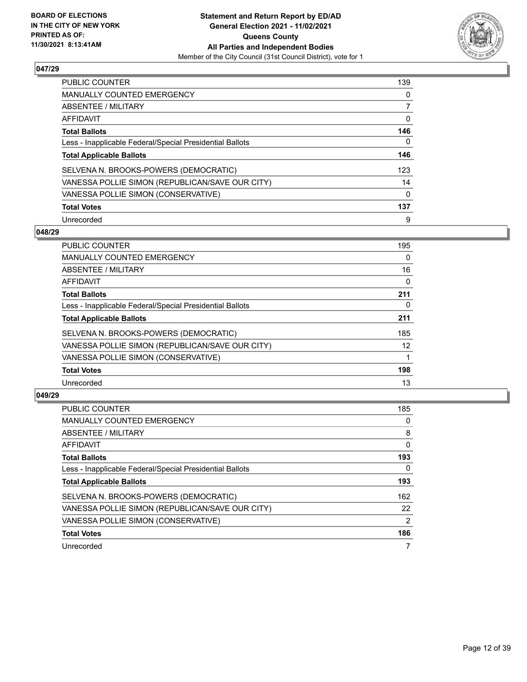

| PUBLIC COUNTER                                           | 139 |
|----------------------------------------------------------|-----|
| <b>MANUALLY COUNTED EMERGENCY</b>                        | 0   |
| ABSENTEE / MILITARY                                      |     |
| AFFIDAVIT                                                | 0   |
| <b>Total Ballots</b>                                     | 146 |
| Less - Inapplicable Federal/Special Presidential Ballots | 0   |
| <b>Total Applicable Ballots</b>                          | 146 |
| SELVENA N. BROOKS-POWERS (DEMOCRATIC)                    | 123 |
| VANESSA POLLIE SIMON (REPUBLICAN/SAVE OUR CITY)          | 14  |
| VANESSA POLLIE SIMON (CONSERVATIVE)                      | 0   |
| <b>Total Votes</b>                                       | 137 |
| Unrecorded                                               | 9   |

#### **048/29**

| <b>PUBLIC COUNTER</b>                                    | 195      |
|----------------------------------------------------------|----------|
| <b>MANUALLY COUNTED EMERGENCY</b>                        | $\Omega$ |
| ABSENTEE / MILITARY                                      | 16       |
| <b>AFFIDAVIT</b>                                         | $\Omega$ |
| <b>Total Ballots</b>                                     | 211      |
| Less - Inapplicable Federal/Special Presidential Ballots | 0        |
| <b>Total Applicable Ballots</b>                          | 211      |
| SELVENA N. BROOKS-POWERS (DEMOCRATIC)                    | 185      |
| VANESSA POLLIE SIMON (REPUBLICAN/SAVE OUR CITY)          | 12       |
| VANESSA POLLIE SIMON (CONSERVATIVE)                      |          |
| <b>Total Votes</b>                                       | 198      |
| Unrecorded                                               | 13       |

| <b>PUBLIC COUNTER</b>                                    | 185           |
|----------------------------------------------------------|---------------|
| <b>MANUALLY COUNTED EMERGENCY</b>                        | $\Omega$      |
| ABSENTEE / MILITARY                                      | 8             |
| AFFIDAVIT                                                | $\Omega$      |
| <b>Total Ballots</b>                                     | 193           |
| Less - Inapplicable Federal/Special Presidential Ballots | 0             |
| <b>Total Applicable Ballots</b>                          | 193           |
| SELVENA N. BROOKS-POWERS (DEMOCRATIC)                    | 162           |
| VANESSA POLLIE SIMON (REPUBLICAN/SAVE OUR CITY)          | 22            |
| VANESSA POLLIE SIMON (CONSERVATIVE)                      | $\mathcal{P}$ |
| <b>Total Votes</b>                                       | 186           |
| Unrecorded                                               |               |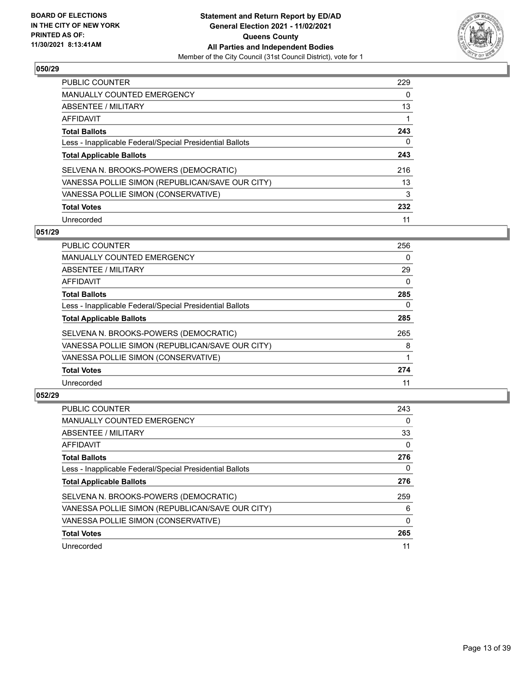

| PUBLIC COUNTER                                           | 229 |
|----------------------------------------------------------|-----|
| <b>MANUALLY COUNTED EMERGENCY</b>                        | 0   |
| ABSENTEE / MILITARY                                      | 13  |
| AFFIDAVIT                                                |     |
| <b>Total Ballots</b>                                     | 243 |
| Less - Inapplicable Federal/Special Presidential Ballots | 0   |
| <b>Total Applicable Ballots</b>                          | 243 |
| SELVENA N. BROOKS-POWERS (DEMOCRATIC)                    | 216 |
| VANESSA POLLIE SIMON (REPUBLICAN/SAVE OUR CITY)          | 13  |
| VANESSA POLLIE SIMON (CONSERVATIVE)                      | 3   |
| <b>Total Votes</b>                                       | 232 |
| Unrecorded                                               | 11  |

#### **051/29**

| <b>PUBLIC COUNTER</b>                                    | 256      |
|----------------------------------------------------------|----------|
| <b>MANUALLY COUNTED EMERGENCY</b>                        | 0        |
| ABSENTEE / MILITARY                                      | 29       |
| AFFIDAVIT                                                | $\Omega$ |
| <b>Total Ballots</b>                                     | 285      |
| Less - Inapplicable Federal/Special Presidential Ballots | 0        |
| <b>Total Applicable Ballots</b>                          | 285      |
| SELVENA N. BROOKS-POWERS (DEMOCRATIC)                    | 265      |
| VANESSA POLLIE SIMON (REPUBLICAN/SAVE OUR CITY)          | 8        |
| VANESSA POLLIE SIMON (CONSERVATIVE)                      |          |
| <b>Total Votes</b>                                       | 274      |
| Unrecorded                                               | 11       |

| <b>PUBLIC COUNTER</b>                                    | 243      |
|----------------------------------------------------------|----------|
| <b>MANUALLY COUNTED EMERGENCY</b>                        | 0        |
| ABSENTEE / MILITARY                                      | 33       |
| AFFIDAVIT                                                | $\Omega$ |
| <b>Total Ballots</b>                                     | 276      |
| Less - Inapplicable Federal/Special Presidential Ballots | 0        |
| <b>Total Applicable Ballots</b>                          | 276      |
| SELVENA N. BROOKS-POWERS (DEMOCRATIC)                    | 259      |
| VANESSA POLLIE SIMON (REPUBLICAN/SAVE OUR CITY)          | 6        |
| VANESSA POLLIE SIMON (CONSERVATIVE)                      | 0        |
| <b>Total Votes</b>                                       | 265      |
| Unrecorded                                               | 11       |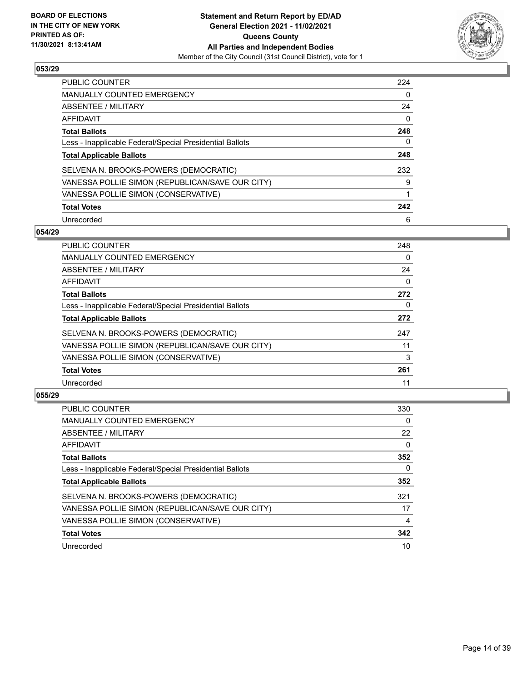

| <b>PUBLIC COUNTER</b>                                    | 224 |
|----------------------------------------------------------|-----|
| <b>MANUALLY COUNTED EMERGENCY</b>                        | 0   |
| ABSENTEE / MILITARY                                      | 24  |
| <b>AFFIDAVIT</b>                                         | 0   |
| <b>Total Ballots</b>                                     | 248 |
| Less - Inapplicable Federal/Special Presidential Ballots | 0   |
| <b>Total Applicable Ballots</b>                          | 248 |
| SELVENA N. BROOKS-POWERS (DEMOCRATIC)                    | 232 |
| VANESSA POLLIE SIMON (REPUBLICAN/SAVE OUR CITY)          | 9   |
| VANESSA POLLIE SIMON (CONSERVATIVE)                      | 1   |
| <b>Total Votes</b>                                       | 242 |
| Unrecorded                                               | 6   |

#### **054/29**

| <b>PUBLIC COUNTER</b>                                    | 248      |
|----------------------------------------------------------|----------|
| <b>MANUALLY COUNTED EMERGENCY</b>                        | $\Omega$ |
| ABSENTEE / MILITARY                                      | 24       |
| AFFIDAVIT                                                | $\Omega$ |
| <b>Total Ballots</b>                                     | 272      |
| Less - Inapplicable Federal/Special Presidential Ballots | 0        |
| <b>Total Applicable Ballots</b>                          | 272      |
| SELVENA N. BROOKS-POWERS (DEMOCRATIC)                    | 247      |
| VANESSA POLLIE SIMON (REPUBLICAN/SAVE OUR CITY)          | 11       |
| VANESSA POLLIE SIMON (CONSERVATIVE)                      | 3        |
| <b>Total Votes</b>                                       | 261      |
| Unrecorded                                               | 11       |

| PUBLIC COUNTER                                           | 330      |
|----------------------------------------------------------|----------|
| <b>MANUALLY COUNTED EMERGENCY</b>                        | $\Omega$ |
| ABSENTEE / MILITARY                                      | 22       |
| AFFIDAVIT                                                | $\Omega$ |
| <b>Total Ballots</b>                                     | 352      |
| Less - Inapplicable Federal/Special Presidential Ballots | 0        |
| <b>Total Applicable Ballots</b>                          | 352      |
| SELVENA N. BROOKS-POWERS (DEMOCRATIC)                    | 321      |
| VANESSA POLLIE SIMON (REPUBLICAN/SAVE OUR CITY)          | 17       |
| VANESSA POLLIE SIMON (CONSERVATIVE)                      | 4        |
| <b>Total Votes</b>                                       | 342      |
| Unrecorded                                               | 10       |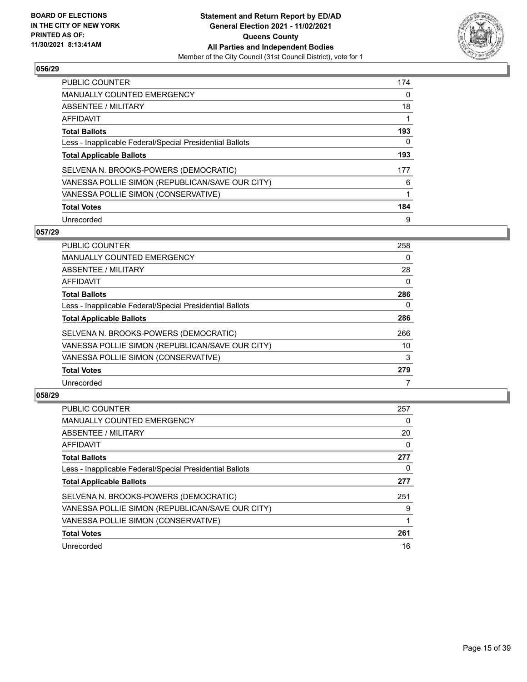

| <b>PUBLIC COUNTER</b>                                    | 174 |
|----------------------------------------------------------|-----|
| <b>MANUALLY COUNTED EMERGENCY</b>                        | 0   |
| ABSENTEE / MILITARY                                      | 18  |
| AFFIDAVIT                                                | 1   |
| <b>Total Ballots</b>                                     | 193 |
| Less - Inapplicable Federal/Special Presidential Ballots | 0   |
| <b>Total Applicable Ballots</b>                          | 193 |
| SELVENA N. BROOKS-POWERS (DEMOCRATIC)                    | 177 |
| VANESSA POLLIE SIMON (REPUBLICAN/SAVE OUR CITY)          | 6   |
| VANESSA POLLIE SIMON (CONSERVATIVE)                      | 1   |
| <b>Total Votes</b>                                       | 184 |
| Unrecorded                                               | 9   |

#### **057/29**

| <b>PUBLIC COUNTER</b>                                    | 258      |
|----------------------------------------------------------|----------|
| <b>MANUALLY COUNTED EMERGENCY</b>                        | $\Omega$ |
| ABSENTEE / MILITARY                                      | 28       |
| AFFIDAVIT                                                | $\Omega$ |
| <b>Total Ballots</b>                                     | 286      |
| Less - Inapplicable Federal/Special Presidential Ballots | 0        |
| <b>Total Applicable Ballots</b>                          | 286      |
| SELVENA N. BROOKS-POWERS (DEMOCRATIC)                    | 266      |
| VANESSA POLLIE SIMON (REPUBLICAN/SAVE OUR CITY)          | 10       |
| VANESSA POLLIE SIMON (CONSERVATIVE)                      | 3        |
| <b>Total Votes</b>                                       | 279      |
| Unrecorded                                               |          |

| <b>PUBLIC COUNTER</b>                                    | 257 |
|----------------------------------------------------------|-----|
| <b>MANUALLY COUNTED EMERGENCY</b>                        | 0   |
| ABSENTEE / MILITARY                                      | 20  |
| AFFIDAVIT                                                | 0   |
| <b>Total Ballots</b>                                     | 277 |
| Less - Inapplicable Federal/Special Presidential Ballots | 0   |
| <b>Total Applicable Ballots</b>                          | 277 |
| SELVENA N. BROOKS-POWERS (DEMOCRATIC)                    | 251 |
| VANESSA POLLIE SIMON (REPUBLICAN/SAVE OUR CITY)          | 9   |
| VANESSA POLLIE SIMON (CONSERVATIVE)                      |     |
| <b>Total Votes</b>                                       | 261 |
| Unrecorded                                               | 16  |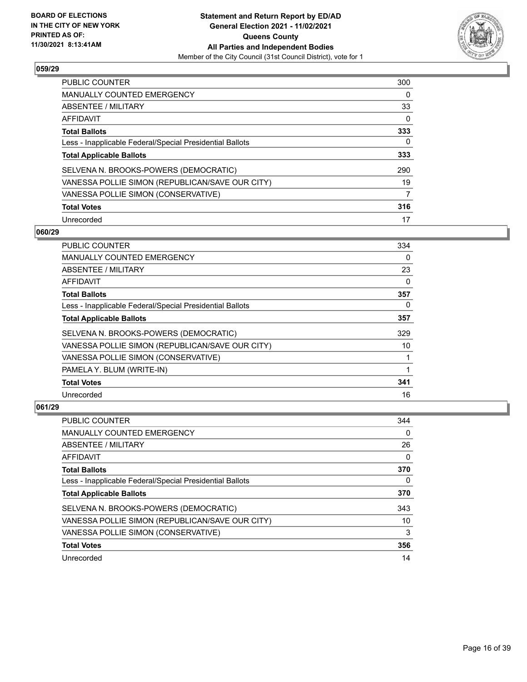

| PUBLIC COUNTER                                           | 300 |
|----------------------------------------------------------|-----|
| <b>MANUALLY COUNTED EMERGENCY</b>                        | 0   |
| ABSENTEE / MILITARY                                      | 33  |
| AFFIDAVIT                                                | 0   |
| <b>Total Ballots</b>                                     | 333 |
| Less - Inapplicable Federal/Special Presidential Ballots | 0   |
| <b>Total Applicable Ballots</b>                          | 333 |
| SELVENA N. BROOKS-POWERS (DEMOCRATIC)                    | 290 |
| VANESSA POLLIE SIMON (REPUBLICAN/SAVE OUR CITY)          | 19  |
| VANESSA POLLIE SIMON (CONSERVATIVE)                      |     |
| <b>Total Votes</b>                                       | 316 |
| Unrecorded                                               | 17  |

#### **060/29**

| <b>PUBLIC COUNTER</b>                                    | 334      |
|----------------------------------------------------------|----------|
| <b>MANUALLY COUNTED EMERGENCY</b>                        | $\Omega$ |
| ABSENTEE / MILITARY                                      | 23       |
| AFFIDAVIT                                                | 0        |
| <b>Total Ballots</b>                                     | 357      |
| Less - Inapplicable Federal/Special Presidential Ballots | 0        |
| <b>Total Applicable Ballots</b>                          | 357      |
| SELVENA N. BROOKS-POWERS (DEMOCRATIC)                    | 329      |
| VANESSA POLLIE SIMON (REPUBLICAN/SAVE OUR CITY)          | 10       |
| VANESSA POLLIE SIMON (CONSERVATIVE)                      |          |
| PAMELA Y. BLUM (WRITE-IN)                                | 1        |
| <b>Total Votes</b>                                       | 341      |
| Unrecorded                                               | 16       |

| PUBLIC COUNTER                                           | 344 |
|----------------------------------------------------------|-----|
| <b>MANUALLY COUNTED EMERGENCY</b>                        | 0   |
| ABSENTEE / MILITARY                                      | 26  |
| AFFIDAVIT                                                | 0   |
| <b>Total Ballots</b>                                     | 370 |
| Less - Inapplicable Federal/Special Presidential Ballots | 0   |
| <b>Total Applicable Ballots</b>                          | 370 |
| SELVENA N. BROOKS-POWERS (DEMOCRATIC)                    | 343 |
| VANESSA POLLIE SIMON (REPUBLICAN/SAVE OUR CITY)          | 10  |
| VANESSA POLLIE SIMON (CONSERVATIVE)                      | 3   |
| <b>Total Votes</b>                                       | 356 |
| Unrecorded                                               | 14  |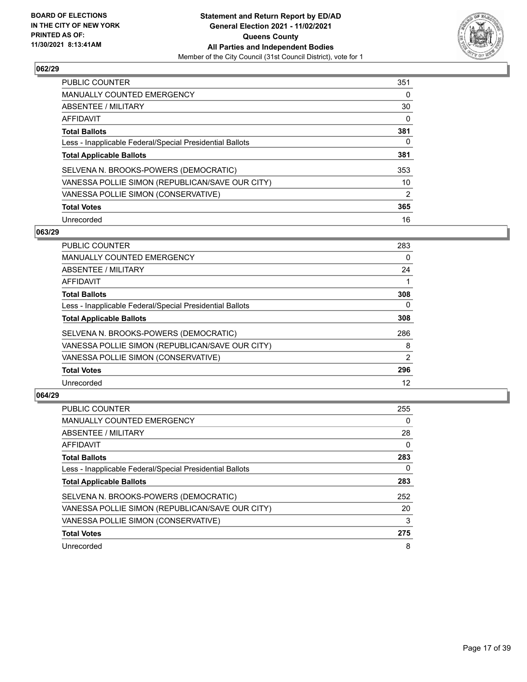

| PUBLIC COUNTER                                           | 351            |
|----------------------------------------------------------|----------------|
| <b>MANUALLY COUNTED EMERGENCY</b>                        | 0              |
| ABSENTEE / MILITARY                                      | 30             |
| AFFIDAVIT                                                | 0              |
| <b>Total Ballots</b>                                     | 381            |
| Less - Inapplicable Federal/Special Presidential Ballots | 0              |
| <b>Total Applicable Ballots</b>                          | 381            |
| SELVENA N. BROOKS-POWERS (DEMOCRATIC)                    | 353            |
| VANESSA POLLIE SIMON (REPUBLICAN/SAVE OUR CITY)          | 10             |
| VANESSA POLLIE SIMON (CONSERVATIVE)                      | $\overline{2}$ |
| <b>Total Votes</b>                                       | 365            |
| Unrecorded                                               | 16             |

#### **063/29**

| <b>PUBLIC COUNTER</b>                                    | 283      |
|----------------------------------------------------------|----------|
| <b>MANUALLY COUNTED EMERGENCY</b>                        | $\Omega$ |
| ABSENTEE / MILITARY                                      | 24       |
| <b>AFFIDAVIT</b>                                         |          |
| <b>Total Ballots</b>                                     | 308      |
| Less - Inapplicable Federal/Special Presidential Ballots | 0        |
| <b>Total Applicable Ballots</b>                          | 308      |
| SELVENA N. BROOKS-POWERS (DEMOCRATIC)                    | 286      |
| VANESSA POLLIE SIMON (REPUBLICAN/SAVE OUR CITY)          | 8        |
| VANESSA POLLIE SIMON (CONSERVATIVE)                      | 2        |
| <b>Total Votes</b>                                       | 296      |
| Unrecorded                                               | 12       |

| <b>PUBLIC COUNTER</b>                                    | 255      |
|----------------------------------------------------------|----------|
| <b>MANUALLY COUNTED EMERGENCY</b>                        | $\Omega$ |
| ABSENTEE / MILITARY                                      | 28       |
| AFFIDAVIT                                                | $\Omega$ |
| <b>Total Ballots</b>                                     | 283      |
| Less - Inapplicable Federal/Special Presidential Ballots | 0        |
| <b>Total Applicable Ballots</b>                          | 283      |
| SELVENA N. BROOKS-POWERS (DEMOCRATIC)                    | 252      |
| VANESSA POLLIE SIMON (REPUBLICAN/SAVE OUR CITY)          | 20       |
| VANESSA POLLIE SIMON (CONSERVATIVE)                      | 3        |
| <b>Total Votes</b>                                       | 275      |
| Unrecorded                                               | 8        |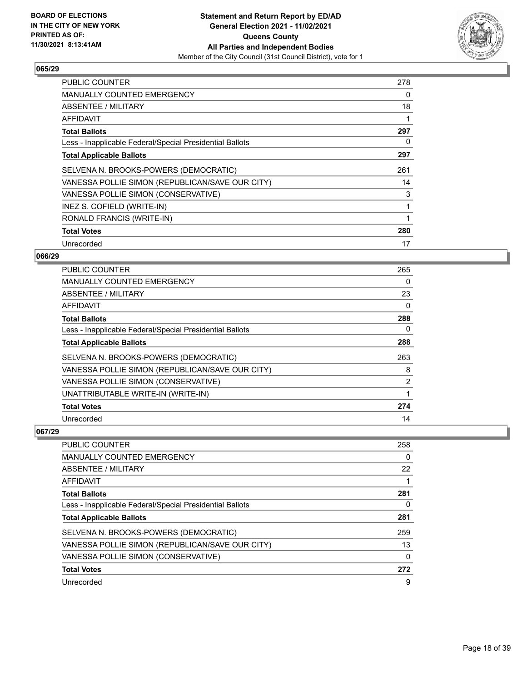

| <b>PUBLIC COUNTER</b>                                    | 278 |
|----------------------------------------------------------|-----|
| <b>MANUALLY COUNTED EMERGENCY</b>                        | 0   |
| <b>ABSENTEE / MILITARY</b>                               | 18  |
| AFFIDAVIT                                                | 1   |
| <b>Total Ballots</b>                                     | 297 |
| Less - Inapplicable Federal/Special Presidential Ballots | 0   |
| <b>Total Applicable Ballots</b>                          | 297 |
| SELVENA N. BROOKS-POWERS (DEMOCRATIC)                    | 261 |
| VANESSA POLLIE SIMON (REPUBLICAN/SAVE OUR CITY)          | 14  |
| VANESSA POLLIE SIMON (CONSERVATIVE)                      | 3   |
| INEZ S. COFIELD (WRITE-IN)                               | 1   |
| RONALD FRANCIS (WRITE-IN)                                |     |
| <b>Total Votes</b>                                       | 280 |
| Unrecorded                                               | 17  |

## **066/29**

| PUBLIC COUNTER                                           | 265            |
|----------------------------------------------------------|----------------|
| <b>MANUALLY COUNTED EMERGENCY</b>                        | $\Omega$       |
| ABSENTEE / MILITARY                                      | 23             |
| AFFIDAVIT                                                | $\Omega$       |
| <b>Total Ballots</b>                                     | 288            |
| Less - Inapplicable Federal/Special Presidential Ballots | 0              |
| <b>Total Applicable Ballots</b>                          | 288            |
| SELVENA N. BROOKS-POWERS (DEMOCRATIC)                    | 263            |
| VANESSA POLLIE SIMON (REPUBLICAN/SAVE OUR CITY)          | 8              |
| VANESSA POLLIE SIMON (CONSERVATIVE)                      | $\overline{2}$ |
| UNATTRIBUTABLE WRITE-IN (WRITE-IN)                       |                |
| <b>Total Votes</b>                                       | 274            |
| Unrecorded                                               | 14             |

| PUBLIC COUNTER                                           | 258      |
|----------------------------------------------------------|----------|
| <b>MANUALLY COUNTED EMERGENCY</b>                        | 0        |
| <b>ABSENTEE / MILITARY</b>                               | 22       |
| AFFIDAVIT                                                |          |
| <b>Total Ballots</b>                                     | 281      |
| Less - Inapplicable Federal/Special Presidential Ballots | 0        |
| <b>Total Applicable Ballots</b>                          | 281      |
| SELVENA N. BROOKS-POWERS (DEMOCRATIC)                    | 259      |
| VANESSA POLLIE SIMON (REPUBLICAN/SAVE OUR CITY)          | 13       |
| VANESSA POLLIE SIMON (CONSERVATIVE)                      | $\Omega$ |
| <b>Total Votes</b>                                       | 272      |
| Unrecorded                                               | 9        |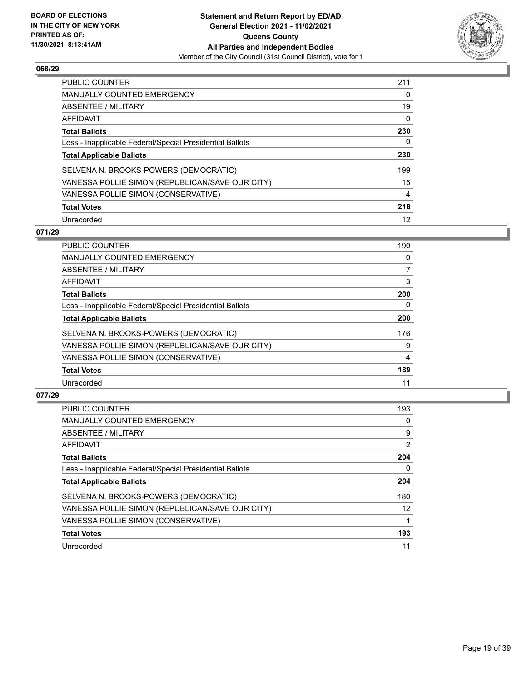

| PUBLIC COUNTER                                           | 211 |
|----------------------------------------------------------|-----|
| <b>MANUALLY COUNTED EMERGENCY</b>                        | 0   |
| ABSENTEE / MILITARY                                      | 19  |
| AFFIDAVIT                                                | 0   |
| <b>Total Ballots</b>                                     | 230 |
| Less - Inapplicable Federal/Special Presidential Ballots | 0   |
| <b>Total Applicable Ballots</b>                          | 230 |
| SELVENA N. BROOKS-POWERS (DEMOCRATIC)                    | 199 |
| VANESSA POLLIE SIMON (REPUBLICAN/SAVE OUR CITY)          | 15  |
| VANESSA POLLIE SIMON (CONSERVATIVE)                      | 4   |
| <b>Total Votes</b>                                       | 218 |
| Unrecorded                                               | 12  |

#### **071/29**

| <b>PUBLIC COUNTER</b>                                    | 190 |
|----------------------------------------------------------|-----|
| <b>MANUALLY COUNTED EMERGENCY</b>                        | 0   |
| ABSENTEE / MILITARY                                      | 7   |
| <b>AFFIDAVIT</b>                                         | 3   |
| <b>Total Ballots</b>                                     | 200 |
| Less - Inapplicable Federal/Special Presidential Ballots | 0   |
| <b>Total Applicable Ballots</b>                          | 200 |
| SELVENA N. BROOKS-POWERS (DEMOCRATIC)                    | 176 |
| VANESSA POLLIE SIMON (REPUBLICAN/SAVE OUR CITY)          | 9   |
| VANESSA POLLIE SIMON (CONSERVATIVE)                      | 4   |
| <b>Total Votes</b>                                       | 189 |
| Unrecorded                                               | 11  |

| <b>PUBLIC COUNTER</b>                                    | 193 |
|----------------------------------------------------------|-----|
| <b>MANUALLY COUNTED EMERGENCY</b>                        | 0   |
| ABSENTEE / MILITARY                                      | 9   |
| AFFIDAVIT                                                | 2   |
| <b>Total Ballots</b>                                     | 204 |
| Less - Inapplicable Federal/Special Presidential Ballots | 0   |
| <b>Total Applicable Ballots</b>                          | 204 |
| SELVENA N. BROOKS-POWERS (DEMOCRATIC)                    | 180 |
| VANESSA POLLIE SIMON (REPUBLICAN/SAVE OUR CITY)          | 12  |
| VANESSA POLLIE SIMON (CONSERVATIVE)                      |     |
| <b>Total Votes</b>                                       | 193 |
| Unrecorded                                               | 11  |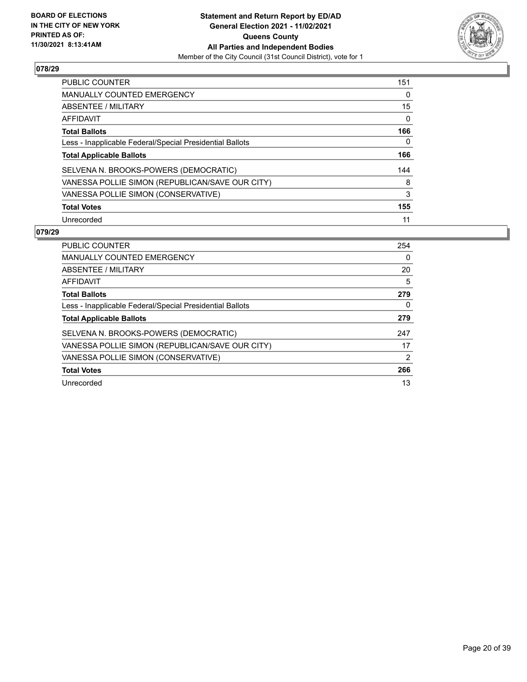

| PUBLIC COUNTER                                           | 151 |
|----------------------------------------------------------|-----|
| <b>MANUALLY COUNTED EMERGENCY</b>                        | 0   |
| ABSENTEE / MILITARY                                      | 15  |
| AFFIDAVIT                                                | 0   |
| <b>Total Ballots</b>                                     | 166 |
| Less - Inapplicable Federal/Special Presidential Ballots | 0   |
| <b>Total Applicable Ballots</b>                          | 166 |
|                                                          |     |
| SELVENA N. BROOKS-POWERS (DEMOCRATIC)                    | 144 |
| VANESSA POLLIE SIMON (REPUBLICAN/SAVE OUR CITY)          | 8   |
| VANESSA POLLIE SIMON (CONSERVATIVE)                      | 3   |
| <b>Total Votes</b>                                       | 155 |

| <b>PUBLIC COUNTER</b>                                    | 254 |
|----------------------------------------------------------|-----|
| <b>MANUALLY COUNTED EMERGENCY</b>                        | 0   |
| ABSENTEE / MILITARY                                      | 20  |
| AFFIDAVIT                                                | 5   |
| <b>Total Ballots</b>                                     | 279 |
| Less - Inapplicable Federal/Special Presidential Ballots | 0   |
| <b>Total Applicable Ballots</b>                          | 279 |
| SELVENA N. BROOKS-POWERS (DEMOCRATIC)                    | 247 |
|                                                          |     |
| VANESSA POLLIE SIMON (REPUBLICAN/SAVE OUR CITY)          | 17  |
| VANESSA POLLIE SIMON (CONSERVATIVE)                      | 2   |
| <b>Total Votes</b>                                       | 266 |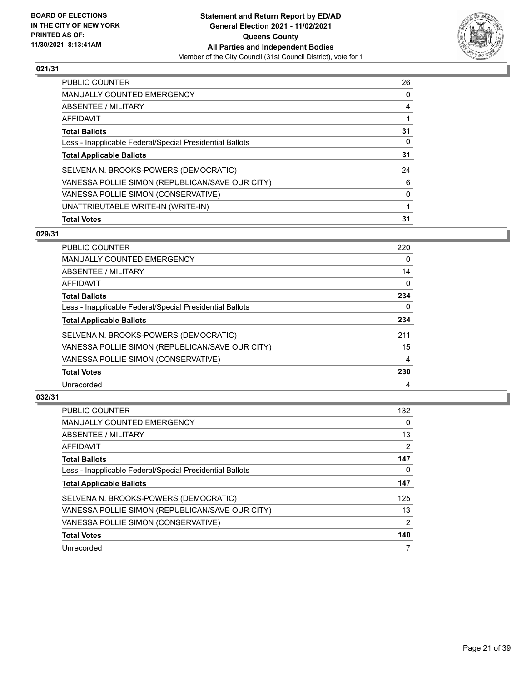

| <b>PUBLIC COUNTER</b>                                    | 26 |
|----------------------------------------------------------|----|
| <b>MANUALLY COUNTED EMERGENCY</b>                        | 0  |
| ABSENTEE / MILITARY                                      | 4  |
| AFFIDAVIT                                                |    |
| <b>Total Ballots</b>                                     | 31 |
| Less - Inapplicable Federal/Special Presidential Ballots | 0  |
| <b>Total Applicable Ballots</b>                          | 31 |
| SELVENA N. BROOKS-POWERS (DEMOCRATIC)                    | 24 |
| VANESSA POLLIE SIMON (REPUBLICAN/SAVE OUR CITY)          | 6  |
| VANESSA POLLIE SIMON (CONSERVATIVE)                      | 0  |
| UNATTRIBUTABLE WRITE-IN (WRITE-IN)                       |    |
| <b>Total Votes</b>                                       | 31 |

## **029/31**

| <b>PUBLIC COUNTER</b>                                    | 220      |
|----------------------------------------------------------|----------|
| <b>MANUALLY COUNTED EMERGENCY</b>                        | 0        |
| ABSENTEE / MILITARY                                      | 14       |
| <b>AFFIDAVIT</b>                                         | $\Omega$ |
| <b>Total Ballots</b>                                     | 234      |
| Less - Inapplicable Federal/Special Presidential Ballots | $\Omega$ |
| <b>Total Applicable Ballots</b>                          | 234      |
| SELVENA N. BROOKS-POWERS (DEMOCRATIC)                    | 211      |
| VANESSA POLLIE SIMON (REPUBLICAN/SAVE OUR CITY)          | 15       |
| VANESSA POLLIE SIMON (CONSERVATIVE)                      | 4        |
| <b>Total Votes</b>                                       | 230      |
| Unrecorded                                               | 4        |

| <b>PUBLIC COUNTER</b>                                    | 132           |
|----------------------------------------------------------|---------------|
| <b>MANUALLY COUNTED EMERGENCY</b>                        | 0             |
| ABSENTEE / MILITARY                                      | 13            |
| AFFIDAVIT                                                | 2             |
| <b>Total Ballots</b>                                     | 147           |
| Less - Inapplicable Federal/Special Presidential Ballots | 0             |
| <b>Total Applicable Ballots</b>                          | 147           |
| SELVENA N. BROOKS-POWERS (DEMOCRATIC)                    | 125           |
| VANESSA POLLIE SIMON (REPUBLICAN/SAVE OUR CITY)          | 13            |
| VANESSA POLLIE SIMON (CONSERVATIVE)                      | $\mathcal{P}$ |
| <b>Total Votes</b>                                       | 140           |
| Unrecorded                                               |               |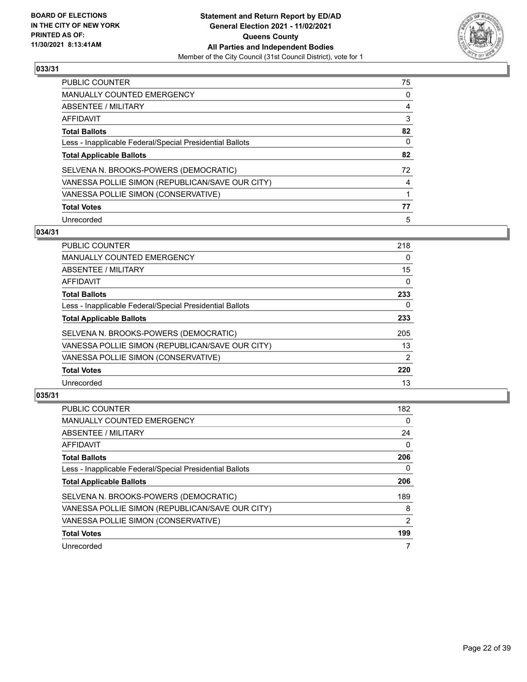

| <b>PUBLIC COUNTER</b>                                    | 75 |
|----------------------------------------------------------|----|
| <b>MANUALLY COUNTED EMERGENCY</b>                        | 0  |
| ABSENTEE / MILITARY                                      | 4  |
| AFFIDAVIT                                                | 3  |
| <b>Total Ballots</b>                                     | 82 |
| Less - Inapplicable Federal/Special Presidential Ballots | 0  |
| <b>Total Applicable Ballots</b>                          | 82 |
| SELVENA N. BROOKS-POWERS (DEMOCRATIC)                    | 72 |
| VANESSA POLLIE SIMON (REPUBLICAN/SAVE OUR CITY)          | 4  |
| VANESSA POLLIE SIMON (CONSERVATIVE)                      |    |
| <b>Total Votes</b>                                       | 77 |
| Unrecorded                                               | 5  |

#### **034/31**

| <b>PUBLIC COUNTER</b>                                    | 218      |
|----------------------------------------------------------|----------|
| <b>MANUALLY COUNTED EMERGENCY</b>                        | $\Omega$ |
| ABSENTEE / MILITARY                                      | 15       |
| AFFIDAVIT                                                | $\Omega$ |
| <b>Total Ballots</b>                                     | 233      |
| Less - Inapplicable Federal/Special Presidential Ballots | 0        |
| <b>Total Applicable Ballots</b>                          | 233      |
| SELVENA N. BROOKS-POWERS (DEMOCRATIC)                    | 205      |
| VANESSA POLLIE SIMON (REPUBLICAN/SAVE OUR CITY)          | 13       |
| VANESSA POLLIE SIMON (CONSERVATIVE)                      | 2        |
| <b>Total Votes</b>                                       | 220      |
| Unrecorded                                               | 13       |

| <b>PUBLIC COUNTER</b>                                    | 182      |
|----------------------------------------------------------|----------|
| <b>MANUALLY COUNTED EMERGENCY</b>                        | $\Omega$ |
| ABSENTEE / MILITARY                                      | 24       |
| <b>AFFIDAVIT</b>                                         | $\Omega$ |
| <b>Total Ballots</b>                                     | 206      |
| Less - Inapplicable Federal/Special Presidential Ballots | 0        |
| <b>Total Applicable Ballots</b>                          | 206      |
| SELVENA N. BROOKS-POWERS (DEMOCRATIC)                    | 189      |
| VANESSA POLLIE SIMON (REPUBLICAN/SAVE OUR CITY)          | 8        |
| VANESSA POLLIE SIMON (CONSERVATIVE)                      | 2        |
| <b>Total Votes</b>                                       | 199      |
| Unrecorded                                               |          |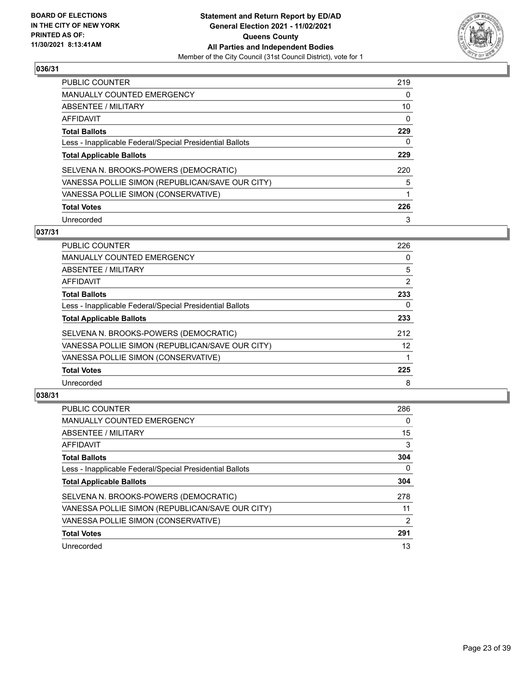

| PUBLIC COUNTER                                           | 219      |
|----------------------------------------------------------|----------|
| <b>MANUALLY COUNTED EMERGENCY</b>                        | 0        |
| ABSENTEE / MILITARY                                      | 10       |
| AFFIDAVIT                                                | $\Omega$ |
| <b>Total Ballots</b>                                     | 229      |
| Less - Inapplicable Federal/Special Presidential Ballots | 0        |
| <b>Total Applicable Ballots</b>                          | 229      |
| SELVENA N. BROOKS-POWERS (DEMOCRATIC)                    | 220      |
| VANESSA POLLIE SIMON (REPUBLICAN/SAVE OUR CITY)          | 5        |
| VANESSA POLLIE SIMON (CONSERVATIVE)                      |          |
| <b>Total Votes</b>                                       | 226      |
| Unrecorded                                               | 3        |

#### **037/31**

| 226            |
|----------------|
| 0              |
| 5              |
| $\overline{2}$ |
| 233            |
| 0              |
| 233            |
| 212            |
| 12             |
|                |
| 225            |
| 8              |
|                |

| PUBLIC COUNTER                                           | 286      |
|----------------------------------------------------------|----------|
| <b>MANUALLY COUNTED EMERGENCY</b>                        | 0        |
| ABSENTEE / MILITARY                                      | 15       |
| AFFIDAVIT                                                | 3        |
| <b>Total Ballots</b>                                     | 304      |
| Less - Inapplicable Federal/Special Presidential Ballots | $\Omega$ |
| <b>Total Applicable Ballots</b>                          | 304      |
| SELVENA N. BROOKS-POWERS (DEMOCRATIC)                    | 278      |
| VANESSA POLLIE SIMON (REPUBLICAN/SAVE OUR CITY)          | 11       |
| VANESSA POLLIE SIMON (CONSERVATIVE)                      | 2        |
| <b>Total Votes</b>                                       | 291      |
| Unrecorded                                               | 13       |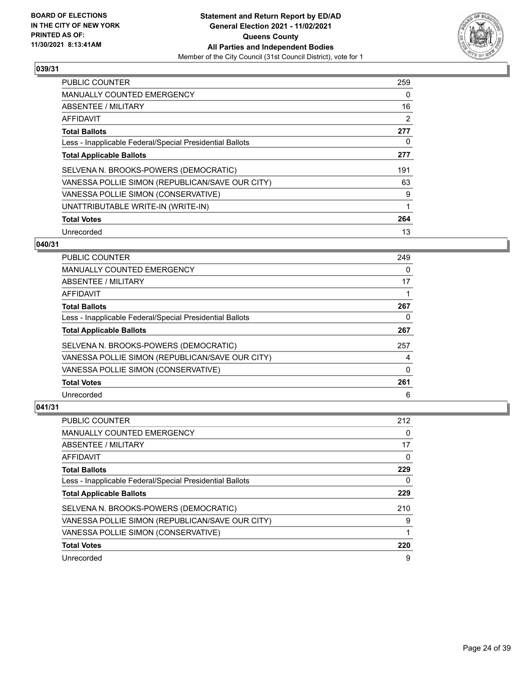

| <b>PUBLIC COUNTER</b>                                    | 259 |
|----------------------------------------------------------|-----|
| <b>MANUALLY COUNTED EMERGENCY</b>                        | 0   |
| ABSENTEE / MILITARY                                      | 16  |
| AFFIDAVIT                                                | 2   |
| <b>Total Ballots</b>                                     | 277 |
| Less - Inapplicable Federal/Special Presidential Ballots | 0   |
| <b>Total Applicable Ballots</b>                          | 277 |
| SELVENA N. BROOKS-POWERS (DEMOCRATIC)                    | 191 |
| VANESSA POLLIE SIMON (REPUBLICAN/SAVE OUR CITY)          | 63  |
| VANESSA POLLIE SIMON (CONSERVATIVE)                      | 9   |
| UNATTRIBUTABLE WRITE-IN (WRITE-IN)                       | 1   |
| <b>Total Votes</b>                                       | 264 |
| Unrecorded                                               | 13  |

## **040/31**

| PUBLIC COUNTER                                           | 249 |
|----------------------------------------------------------|-----|
| MANUALLY COUNTED EMERGENCY                               | 0   |
| ABSENTEE / MILITARY                                      | 17  |
| AFFIDAVIT                                                |     |
| <b>Total Ballots</b>                                     | 267 |
| Less - Inapplicable Federal/Special Presidential Ballots | 0   |
| <b>Total Applicable Ballots</b>                          | 267 |
| SELVENA N. BROOKS-POWERS (DEMOCRATIC)                    | 257 |
| VANESSA POLLIE SIMON (REPUBLICAN/SAVE OUR CITY)          | 4   |
| VANESSA POLLIE SIMON (CONSERVATIVE)                      | 0   |
| <b>Total Votes</b>                                       | 261 |
| Unrecorded                                               | 6   |

| <b>PUBLIC COUNTER</b>                                    | 212 |
|----------------------------------------------------------|-----|
| <b>MANUALLY COUNTED EMERGENCY</b>                        | 0   |
| ABSENTEE / MILITARY                                      | 17  |
| AFFIDAVIT                                                | 0   |
| <b>Total Ballots</b>                                     | 229 |
| Less - Inapplicable Federal/Special Presidential Ballots | 0   |
| <b>Total Applicable Ballots</b>                          | 229 |
| SELVENA N. BROOKS-POWERS (DEMOCRATIC)                    | 210 |
| VANESSA POLLIE SIMON (REPUBLICAN/SAVE OUR CITY)          | 9   |
| VANESSA POLLIE SIMON (CONSERVATIVE)                      |     |
| <b>Total Votes</b>                                       | 220 |
| Unrecorded                                               | 9   |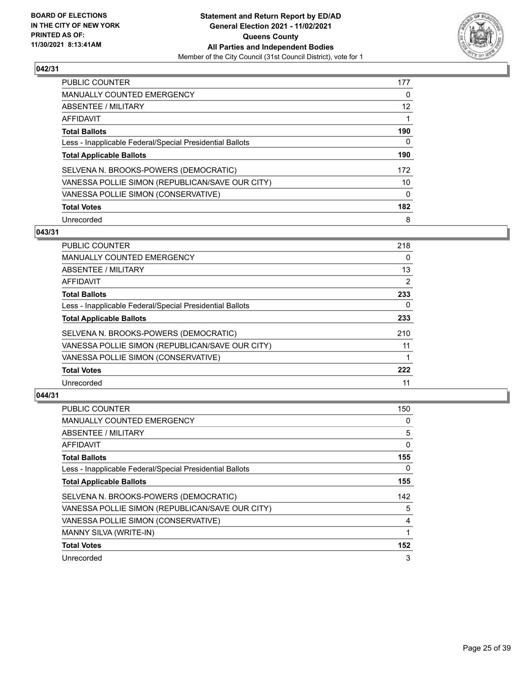

| PUBLIC COUNTER                                           | 177 |
|----------------------------------------------------------|-----|
| <b>MANUALLY COUNTED EMERGENCY</b>                        | 0   |
| ABSENTEE / MILITARY                                      | 12  |
| AFFIDAVIT                                                |     |
| <b>Total Ballots</b>                                     | 190 |
| Less - Inapplicable Federal/Special Presidential Ballots | 0   |
| <b>Total Applicable Ballots</b>                          | 190 |
| SELVENA N. BROOKS-POWERS (DEMOCRATIC)                    | 172 |
| VANESSA POLLIE SIMON (REPUBLICAN/SAVE OUR CITY)          | 10  |
| VANESSA POLLIE SIMON (CONSERVATIVE)                      | 0   |
| <b>Total Votes</b>                                       | 182 |
| Unrecorded                                               | 8   |

#### **043/31**

| <b>PUBLIC COUNTER</b>                                    | 218            |
|----------------------------------------------------------|----------------|
| MANUALLY COUNTED EMERGENCY                               | $\Omega$       |
| ABSENTEE / MILITARY                                      | 13             |
| AFFIDAVIT                                                | $\overline{2}$ |
| <b>Total Ballots</b>                                     | 233            |
| Less - Inapplicable Federal/Special Presidential Ballots | $\Omega$       |
| <b>Total Applicable Ballots</b>                          | 233            |
| SELVENA N. BROOKS-POWERS (DEMOCRATIC)                    | 210            |
| VANESSA POLLIE SIMON (REPUBLICAN/SAVE OUR CITY)          | 11             |
| VANESSA POLLIE SIMON (CONSERVATIVE)                      |                |
| <b>Total Votes</b>                                       | 222            |
| Unrecorded                                               | 11             |

| <b>PUBLIC COUNTER</b>                                    | 150 |
|----------------------------------------------------------|-----|
| MANUALLY COUNTED EMERGENCY                               | 0   |
| ABSENTEE / MILITARY                                      | 5   |
| AFFIDAVIT                                                | 0   |
| <b>Total Ballots</b>                                     | 155 |
| Less - Inapplicable Federal/Special Presidential Ballots | 0   |
| <b>Total Applicable Ballots</b>                          | 155 |
| SELVENA N. BROOKS-POWERS (DEMOCRATIC)                    | 142 |
| VANESSA POLLIE SIMON (REPUBLICAN/SAVE OUR CITY)          | 5   |
| VANESSA POLLIE SIMON (CONSERVATIVE)                      | 4   |
| MANNY SILVA (WRITE-IN)                                   |     |
| <b>Total Votes</b>                                       | 152 |
| Unrecorded                                               | 3   |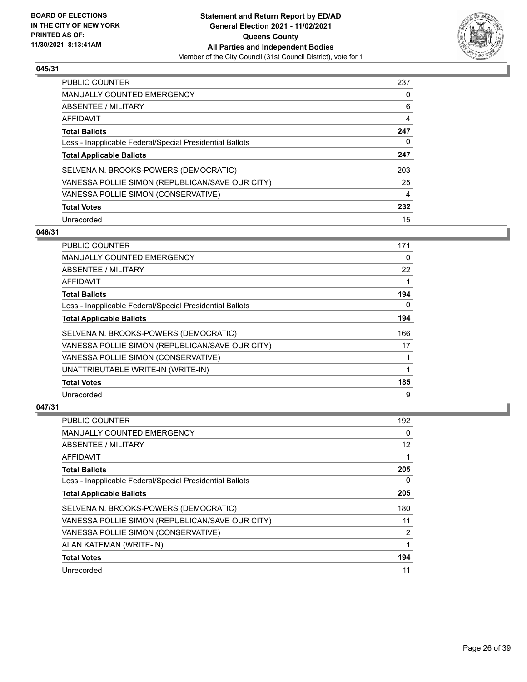

| <b>PUBLIC COUNTER</b>                                    | 237 |
|----------------------------------------------------------|-----|
| <b>MANUALLY COUNTED EMERGENCY</b>                        | 0   |
| <b>ABSENTEE / MILITARY</b>                               | 6   |
| AFFIDAVIT                                                | 4   |
| <b>Total Ballots</b>                                     | 247 |
| Less - Inapplicable Federal/Special Presidential Ballots | 0   |
| <b>Total Applicable Ballots</b>                          | 247 |
| SELVENA N. BROOKS-POWERS (DEMOCRATIC)                    | 203 |
| VANESSA POLLIE SIMON (REPUBLICAN/SAVE OUR CITY)          | 25  |
| VANESSA POLLIE SIMON (CONSERVATIVE)                      | 4   |
| <b>Total Votes</b>                                       | 232 |
| Unrecorded                                               | 15  |

## **046/31**

| PUBLIC COUNTER                                           | 171      |
|----------------------------------------------------------|----------|
| <b>MANUALLY COUNTED EMERGENCY</b>                        | $\Omega$ |
| ABSENTEE / MILITARY                                      | 22       |
| AFFIDAVIT                                                |          |
| <b>Total Ballots</b>                                     | 194      |
| Less - Inapplicable Federal/Special Presidential Ballots | $\Omega$ |
| <b>Total Applicable Ballots</b>                          | 194      |
| SELVENA N. BROOKS-POWERS (DEMOCRATIC)                    | 166      |
| VANESSA POLLIE SIMON (REPUBLICAN/SAVE OUR CITY)          | 17       |
| VANESSA POLLIE SIMON (CONSERVATIVE)                      |          |
| UNATTRIBUTABLE WRITE-IN (WRITE-IN)                       | 1        |
| <b>Total Votes</b>                                       | 185      |
| Unrecorded                                               | 9        |

| <b>PUBLIC COUNTER</b>                                    | 192            |
|----------------------------------------------------------|----------------|
| MANUALLY COUNTED EMERGENCY                               | 0              |
| ABSENTEE / MILITARY                                      | 12             |
| AFFIDAVIT                                                |                |
| <b>Total Ballots</b>                                     | 205            |
| Less - Inapplicable Federal/Special Presidential Ballots | 0              |
| <b>Total Applicable Ballots</b>                          | 205            |
| SELVENA N. BROOKS-POWERS (DEMOCRATIC)                    | 180            |
| VANESSA POLLIE SIMON (REPUBLICAN/SAVE OUR CITY)          | 11             |
| VANESSA POLLIE SIMON (CONSERVATIVE)                      | $\overline{2}$ |
| ALAN KATEMAN (WRITE-IN)                                  | 1              |
| <b>Total Votes</b>                                       | 194            |
| Unrecorded                                               | 11             |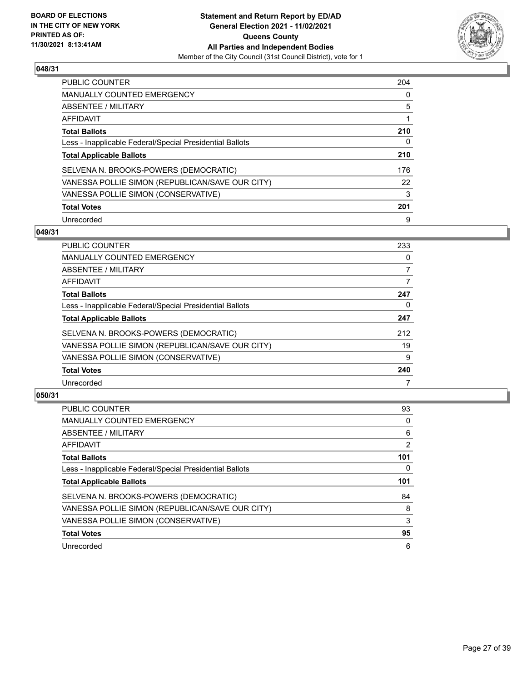

| PUBLIC COUNTER                                           | 204 |
|----------------------------------------------------------|-----|
| <b>MANUALLY COUNTED EMERGENCY</b>                        | 0   |
| ABSENTEE / MILITARY                                      | 5   |
| AFFIDAVIT                                                |     |
| <b>Total Ballots</b>                                     | 210 |
| Less - Inapplicable Federal/Special Presidential Ballots | 0   |
| <b>Total Applicable Ballots</b>                          | 210 |
| SELVENA N. BROOKS-POWERS (DEMOCRATIC)                    | 176 |
| VANESSA POLLIE SIMON (REPUBLICAN/SAVE OUR CITY)          | 22  |
| VANESSA POLLIE SIMON (CONSERVATIVE)                      | 3   |
| <b>Total Votes</b>                                       | 201 |
| Unrecorded                                               | 9   |

#### **049/31**

| <b>PUBLIC COUNTER</b>                                    | 233      |
|----------------------------------------------------------|----------|
| <b>MANUALLY COUNTED EMERGENCY</b>                        | 0        |
| ABSENTEE / MILITARY                                      | 7        |
| AFFIDAVIT                                                | 7        |
| <b>Total Ballots</b>                                     | 247      |
| Less - Inapplicable Federal/Special Presidential Ballots | $\Omega$ |
| <b>Total Applicable Ballots</b>                          | 247      |
| SELVENA N. BROOKS-POWERS (DEMOCRATIC)                    | 212      |
| VANESSA POLLIE SIMON (REPUBLICAN/SAVE OUR CITY)          | 19       |
| VANESSA POLLIE SIMON (CONSERVATIVE)                      | 9        |
| <b>Total Votes</b>                                       | 240      |
| Unrecorded                                               |          |

| <b>PUBLIC COUNTER</b>                                    | 93             |
|----------------------------------------------------------|----------------|
| <b>MANUALLY COUNTED EMERGENCY</b>                        | 0              |
| ABSENTEE / MILITARY                                      | 6              |
| AFFIDAVIT                                                | $\overline{2}$ |
| <b>Total Ballots</b>                                     | 101            |
| Less - Inapplicable Federal/Special Presidential Ballots | 0              |
| <b>Total Applicable Ballots</b>                          | 101            |
| SELVENA N. BROOKS-POWERS (DEMOCRATIC)                    | 84             |
| VANESSA POLLIE SIMON (REPUBLICAN/SAVE OUR CITY)          | 8              |
| VANESSA POLLIE SIMON (CONSERVATIVE)                      | 3              |
| <b>Total Votes</b>                                       | 95             |
| Unrecorded                                               | 6              |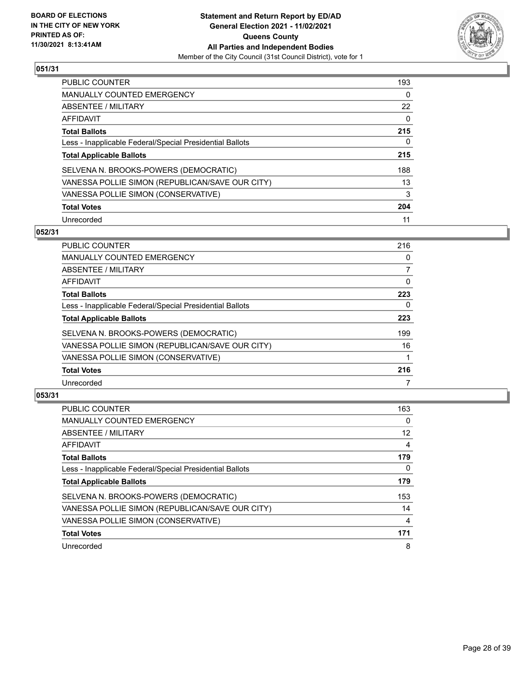

| <b>PUBLIC COUNTER</b>                                    | 193      |
|----------------------------------------------------------|----------|
| <b>MANUALLY COUNTED EMERGENCY</b>                        | $\Omega$ |
| ABSENTEE / MILITARY                                      | 22       |
| AFFIDAVIT                                                | 0        |
| <b>Total Ballots</b>                                     | 215      |
| Less - Inapplicable Federal/Special Presidential Ballots | 0        |
| <b>Total Applicable Ballots</b>                          | 215      |
| SELVENA N. BROOKS-POWERS (DEMOCRATIC)                    | 188      |
| VANESSA POLLIE SIMON (REPUBLICAN/SAVE OUR CITY)          | 13       |
| VANESSA POLLIE SIMON (CONSERVATIVE)                      | 3        |
| <b>Total Votes</b>                                       | 204      |
| Unrecorded                                               | 11       |

#### **052/31**

| <b>PUBLIC COUNTER</b>                                    | 216      |
|----------------------------------------------------------|----------|
| <b>MANUALLY COUNTED EMERGENCY</b>                        | 0        |
| ABSENTEE / MILITARY                                      | 7        |
| AFFIDAVIT                                                | $\Omega$ |
| <b>Total Ballots</b>                                     | 223      |
| Less - Inapplicable Federal/Special Presidential Ballots | 0        |
| <b>Total Applicable Ballots</b>                          | 223      |
| SELVENA N. BROOKS-POWERS (DEMOCRATIC)                    | 199      |
| VANESSA POLLIE SIMON (REPUBLICAN/SAVE OUR CITY)          | 16       |
| VANESSA POLLIE SIMON (CONSERVATIVE)                      |          |
| <b>Total Votes</b>                                       | 216      |
| Unrecorded                                               |          |

| <b>PUBLIC COUNTER</b>                                    | 163 |
|----------------------------------------------------------|-----|
| <b>MANUALLY COUNTED EMERGENCY</b>                        | 0   |
| ABSENTEE / MILITARY                                      | 12  |
| <b>AFFIDAVIT</b>                                         | 4   |
| <b>Total Ballots</b>                                     | 179 |
| Less - Inapplicable Federal/Special Presidential Ballots | 0   |
| <b>Total Applicable Ballots</b>                          | 179 |
| SELVENA N. BROOKS-POWERS (DEMOCRATIC)                    | 153 |
| VANESSA POLLIE SIMON (REPUBLICAN/SAVE OUR CITY)          | 14  |
| VANESSA POLLIE SIMON (CONSERVATIVE)                      | 4   |
| <b>Total Votes</b>                                       | 171 |
| Unrecorded                                               | 8   |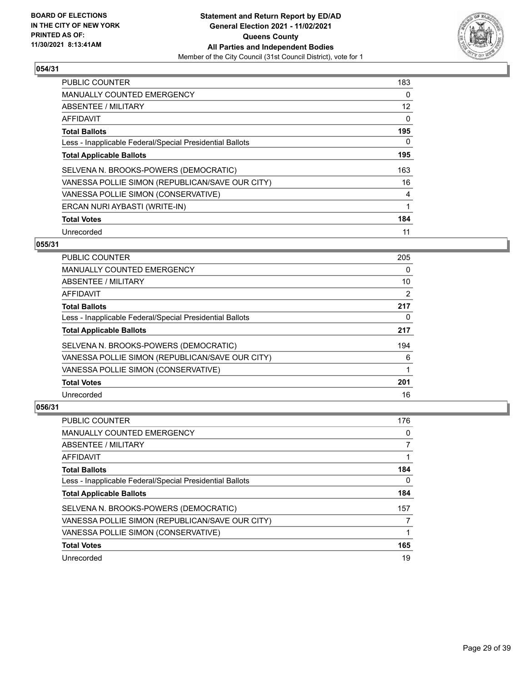

| <b>PUBLIC COUNTER</b>                                    | 183               |
|----------------------------------------------------------|-------------------|
| <b>MANUALLY COUNTED EMERGENCY</b>                        | 0                 |
| ABSENTEE / MILITARY                                      | $12 \overline{ }$ |
| <b>AFFIDAVIT</b>                                         | $\mathbf{0}$      |
| <b>Total Ballots</b>                                     | 195               |
| Less - Inapplicable Federal/Special Presidential Ballots | 0                 |
| <b>Total Applicable Ballots</b>                          | 195               |
| SELVENA N. BROOKS-POWERS (DEMOCRATIC)                    | 163               |
| VANESSA POLLIE SIMON (REPUBLICAN/SAVE OUR CITY)          | 16                |
| VANESSA POLLIE SIMON (CONSERVATIVE)                      | 4                 |
| ERCAN NURI AYBASTI (WRITE-IN)                            | 1                 |
| <b>Total Votes</b>                                       | 184               |
| Unrecorded                                               | 11                |

## **055/31**

| <b>PUBLIC COUNTER</b>                                    | 205 |
|----------------------------------------------------------|-----|
| <b>MANUALLY COUNTED EMERGENCY</b>                        | 0   |
| <b>ABSENTEE / MILITARY</b>                               | 10  |
| <b>AFFIDAVIT</b>                                         | 2   |
| <b>Total Ballots</b>                                     | 217 |
| Less - Inapplicable Federal/Special Presidential Ballots | 0   |
| <b>Total Applicable Ballots</b>                          | 217 |
| SELVENA N. BROOKS-POWERS (DEMOCRATIC)                    | 194 |
| VANESSA POLLIE SIMON (REPUBLICAN/SAVE OUR CITY)          | 6   |
| VANESSA POLLIE SIMON (CONSERVATIVE)                      |     |
| <b>Total Votes</b>                                       | 201 |
| Unrecorded                                               | 16  |

| <b>PUBLIC COUNTER</b>                                    | 176 |
|----------------------------------------------------------|-----|
| <b>MANUALLY COUNTED EMERGENCY</b>                        | 0   |
| ABSENTEE / MILITARY                                      |     |
| AFFIDAVIT                                                |     |
| <b>Total Ballots</b>                                     | 184 |
| Less - Inapplicable Federal/Special Presidential Ballots | 0   |
| <b>Total Applicable Ballots</b>                          | 184 |
| SELVENA N. BROOKS-POWERS (DEMOCRATIC)                    | 157 |
| VANESSA POLLIE SIMON (REPUBLICAN/SAVE OUR CITY)          |     |
| VANESSA POLLIE SIMON (CONSERVATIVE)                      |     |
| <b>Total Votes</b>                                       | 165 |
| Unrecorded                                               | 19  |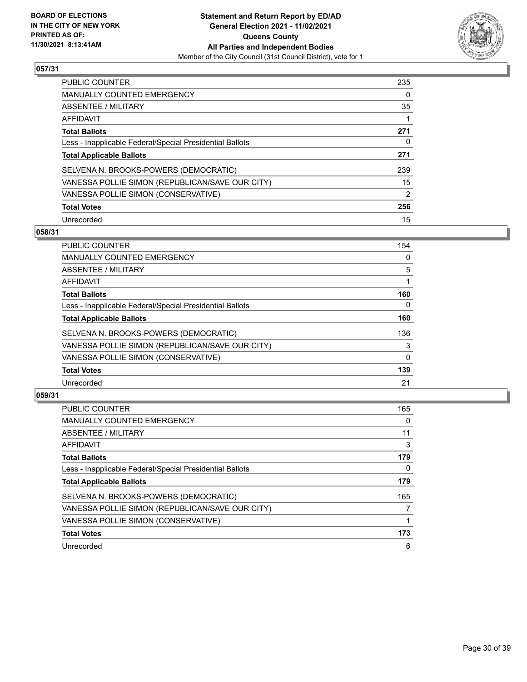

| <b>PUBLIC COUNTER</b>                                    | 235           |
|----------------------------------------------------------|---------------|
| <b>MANUALLY COUNTED EMERGENCY</b>                        | 0             |
| ABSENTEE / MILITARY                                      | 35            |
| AFFIDAVIT                                                |               |
| <b>Total Ballots</b>                                     | 271           |
| Less - Inapplicable Federal/Special Presidential Ballots | 0             |
| <b>Total Applicable Ballots</b>                          | 271           |
| SELVENA N. BROOKS-POWERS (DEMOCRATIC)                    | 239           |
| VANESSA POLLIE SIMON (REPUBLICAN/SAVE OUR CITY)          | 15            |
| VANESSA POLLIE SIMON (CONSERVATIVE)                      | $\mathcal{P}$ |
| <b>Total Votes</b>                                       | 256           |
| Unrecorded                                               | 15            |

#### **058/31**

| 154          |
|--------------|
| 0            |
| 5            |
|              |
| 160          |
| $\Omega$     |
| 160          |
| 136          |
| 3            |
| $\mathbf{0}$ |
| 139          |
| 21           |
|              |

| <b>PUBLIC COUNTER</b>                                    | 165 |
|----------------------------------------------------------|-----|
| <b>MANUALLY COUNTED EMERGENCY</b>                        | 0   |
| ABSENTEE / MILITARY                                      | 11  |
| AFFIDAVIT                                                | 3   |
| <b>Total Ballots</b>                                     | 179 |
| Less - Inapplicable Federal/Special Presidential Ballots | 0   |
| <b>Total Applicable Ballots</b>                          | 179 |
| SELVENA N. BROOKS-POWERS (DEMOCRATIC)                    | 165 |
| VANESSA POLLIE SIMON (REPUBLICAN/SAVE OUR CITY)          | 7   |
| VANESSA POLLIE SIMON (CONSERVATIVE)                      |     |
| <b>Total Votes</b>                                       | 173 |
| Unrecorded                                               | 6   |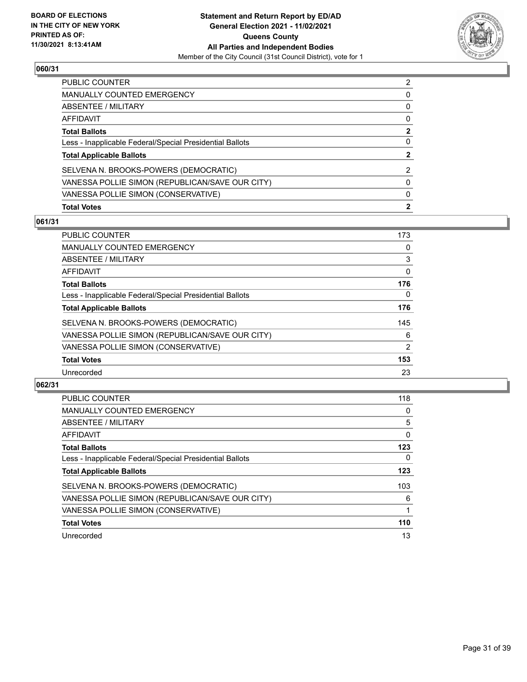

| PUBLIC COUNTER                                           | 2 |
|----------------------------------------------------------|---|
| <b>MANUALLY COUNTED EMERGENCY</b>                        | 0 |
| ABSENTEE / MILITARY                                      | 0 |
| AFFIDAVIT                                                | 0 |
| <b>Total Ballots</b>                                     | 2 |
| Less - Inapplicable Federal/Special Presidential Ballots | 0 |
| <b>Total Applicable Ballots</b>                          | 2 |
| SELVENA N. BROOKS-POWERS (DEMOCRATIC)                    | 2 |
| VANESSA POLLIE SIMON (REPUBLICAN/SAVE OUR CITY)          | 0 |
| VANESSA POLLIE SIMON (CONSERVATIVE)                      | 0 |
| <b>Total Votes</b>                                       | 2 |

## **061/31**

| <b>PUBLIC COUNTER</b>                                    | 173      |
|----------------------------------------------------------|----------|
| <b>MANUALLY COUNTED EMERGENCY</b>                        | 0        |
| ABSENTEE / MILITARY                                      | 3        |
| AFFIDAVIT                                                | $\Omega$ |
| <b>Total Ballots</b>                                     | 176      |
| Less - Inapplicable Federal/Special Presidential Ballots | 0        |
| <b>Total Applicable Ballots</b>                          | 176      |
| SELVENA N. BROOKS-POWERS (DEMOCRATIC)                    | 145      |
| VANESSA POLLIE SIMON (REPUBLICAN/SAVE OUR CITY)          | 6        |
| VANESSA POLLIE SIMON (CONSERVATIVE)                      | 2        |
| <b>Total Votes</b>                                       | 153      |
| Unrecorded                                               | 23       |

| <b>PUBLIC COUNTER</b>                                    | 118      |
|----------------------------------------------------------|----------|
| <b>MANUALLY COUNTED EMERGENCY</b>                        | 0        |
| ABSENTEE / MILITARY                                      | 5        |
| <b>AFFIDAVIT</b>                                         | $\Omega$ |
| <b>Total Ballots</b>                                     | 123      |
| Less - Inapplicable Federal/Special Presidential Ballots | 0        |
| <b>Total Applicable Ballots</b>                          | 123      |
| SELVENA N. BROOKS-POWERS (DEMOCRATIC)                    | 103      |
| VANESSA POLLIE SIMON (REPUBLICAN/SAVE OUR CITY)          | 6        |
| VANESSA POLLIE SIMON (CONSERVATIVE)                      |          |
| <b>Total Votes</b>                                       | 110      |
| Unrecorded                                               | 13       |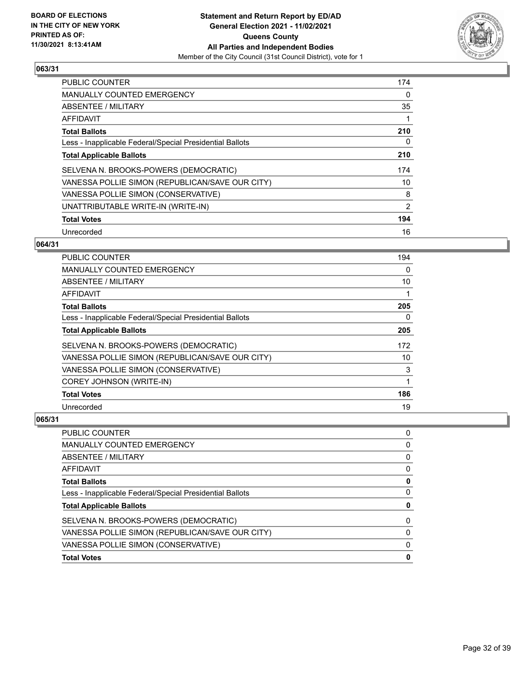

| <b>PUBLIC COUNTER</b>                                    | 174 |
|----------------------------------------------------------|-----|
| <b>MANUALLY COUNTED EMERGENCY</b>                        | 0   |
| ABSENTEE / MILITARY                                      | 35  |
| <b>AFFIDAVIT</b>                                         |     |
| <b>Total Ballots</b>                                     | 210 |
| Less - Inapplicable Federal/Special Presidential Ballots | 0   |
| <b>Total Applicable Ballots</b>                          | 210 |
| SELVENA N. BROOKS-POWERS (DEMOCRATIC)                    | 174 |
| VANESSA POLLIE SIMON (REPUBLICAN/SAVE OUR CITY)          | 10  |
| VANESSA POLLIE SIMON (CONSERVATIVE)                      | 8   |
| UNATTRIBUTABLE WRITE-IN (WRITE-IN)                       | 2   |
| <b>Total Votes</b>                                       | 194 |
| Unrecorded                                               | 16  |

## **064/31**

| <b>PUBLIC COUNTER</b>                                    | 194 |
|----------------------------------------------------------|-----|
| MANUALLY COUNTED EMERGENCY                               | 0   |
| ABSENTEE / MILITARY                                      | 10  |
| AFFIDAVIT                                                |     |
| <b>Total Ballots</b>                                     | 205 |
| Less - Inapplicable Federal/Special Presidential Ballots | 0   |
| <b>Total Applicable Ballots</b>                          | 205 |
| SELVENA N. BROOKS-POWERS (DEMOCRATIC)                    | 172 |
| VANESSA POLLIE SIMON (REPUBLICAN/SAVE OUR CITY)          | 10  |
| VANESSA POLLIE SIMON (CONSERVATIVE)                      | 3   |
| <b>COREY JOHNSON (WRITE-IN)</b>                          | 1   |
| <b>Total Votes</b>                                       | 186 |
| Unrecorded                                               | 19  |

| <b>MANUALLY COUNTED EMERGENCY</b>                        | 0 |
|----------------------------------------------------------|---|
| ABSENTEE / MILITARY                                      | 0 |
| AFFIDAVIT                                                | 0 |
| <b>Total Ballots</b>                                     | 0 |
| Less - Inapplicable Federal/Special Presidential Ballots | 0 |
| <b>Total Applicable Ballots</b>                          | 0 |
| SELVENA N. BROOKS-POWERS (DEMOCRATIC)                    | 0 |
| VANESSA POLLIE SIMON (REPUBLICAN/SAVE OUR CITY)          | 0 |
| VANESSA POLLIE SIMON (CONSERVATIVE)                      | 0 |
| <b>Total Votes</b>                                       | 0 |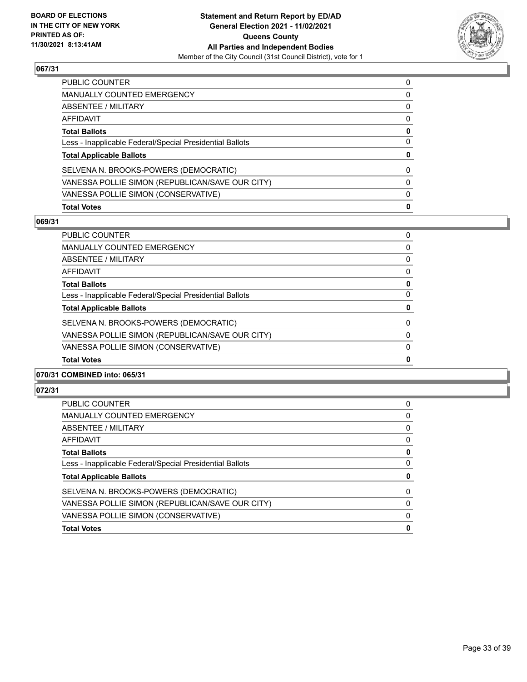

| <b>Total Votes</b>                                       | 0 |
|----------------------------------------------------------|---|
| VANESSA POLLIE SIMON (CONSERVATIVE)                      | 0 |
| VANESSA POLLIE SIMON (REPUBLICAN/SAVE OUR CITY)          | 0 |
| SELVENA N. BROOKS-POWERS (DEMOCRATIC)                    | 0 |
| <b>Total Applicable Ballots</b>                          | 0 |
| Less - Inapplicable Federal/Special Presidential Ballots | 0 |
| <b>Total Ballots</b>                                     | 0 |
| AFFIDAVIT                                                | 0 |
| ABSENTEE / MILITARY                                      | 0 |
| <b>MANUALLY COUNTED EMERGENCY</b>                        | 0 |
| <b>PUBLIC COUNTER</b>                                    | 0 |

# **069/31**

| PUBLIC COUNTER                                           | 0        |
|----------------------------------------------------------|----------|
| <b>MANUALLY COUNTED EMERGENCY</b>                        | 0        |
| ABSENTEE / MILITARY                                      | 0        |
| AFFIDAVIT                                                | 0        |
| <b>Total Ballots</b>                                     | 0        |
| Less - Inapplicable Federal/Special Presidential Ballots | $\Omega$ |
| <b>Total Applicable Ballots</b>                          | 0        |
| SELVENA N. BROOKS-POWERS (DEMOCRATIC)                    | $\Omega$ |
| VANESSA POLLIE SIMON (REPUBLICAN/SAVE OUR CITY)          | $\Omega$ |
| VANESSA POLLIE SIMON (CONSERVATIVE)                      | $\Omega$ |
| <b>Total Votes</b>                                       | 0        |
|                                                          |          |

## **070/31 COMBINED into: 065/31**

| PUBLIC COUNTER                                           | 0 |
|----------------------------------------------------------|---|
| <b>MANUALLY COUNTED EMERGENCY</b>                        | 0 |
| ABSENTEE / MILITARY                                      | 0 |
| AFFIDAVIT                                                | 0 |
| <b>Total Ballots</b>                                     | 0 |
| Less - Inapplicable Federal/Special Presidential Ballots | 0 |
| <b>Total Applicable Ballots</b>                          | 0 |
| SELVENA N. BROOKS-POWERS (DEMOCRATIC)                    | 0 |
| VANESSA POLLIE SIMON (REPUBLICAN/SAVE OUR CITY)          | 0 |
| VANESSA POLLIE SIMON (CONSERVATIVE)                      | 0 |
| <b>Total Votes</b>                                       | 0 |
|                                                          |   |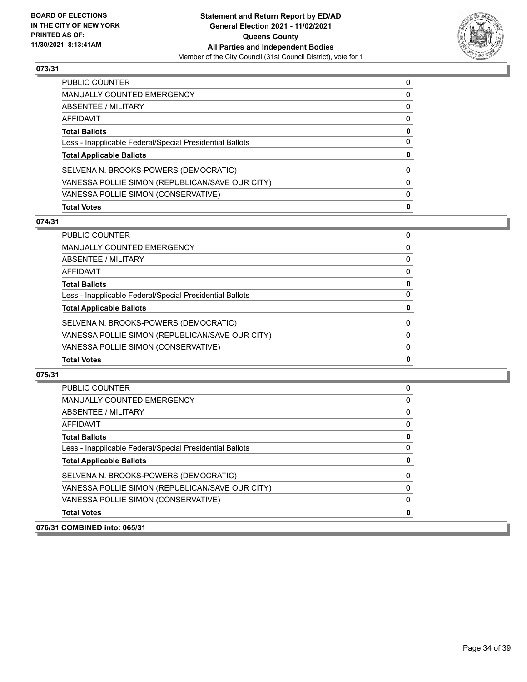

| PUBLIC COUNTER                                           | 0 |
|----------------------------------------------------------|---|
| <b>MANUALLY COUNTED EMERGENCY</b>                        | 0 |
| ABSENTEE / MILITARY                                      | 0 |
| AFFIDAVIT                                                | 0 |
| <b>Total Ballots</b>                                     | 0 |
| Less - Inapplicable Federal/Special Presidential Ballots | 0 |
| <b>Total Applicable Ballots</b>                          | 0 |
| SELVENA N. BROOKS-POWERS (DEMOCRATIC)                    | 0 |
| VANESSA POLLIE SIMON (REPUBLICAN/SAVE OUR CITY)          | 0 |
| VANESSA POLLIE SIMON (CONSERVATIVE)                      | 0 |
| <b>Total Votes</b>                                       | 0 |

## **074/31**

| <b>Total Votes</b>                                       | 0            |
|----------------------------------------------------------|--------------|
| VANESSA POLLIE SIMON (CONSERVATIVE)                      | 0            |
| VANESSA POLLIE SIMON (REPUBLICAN/SAVE OUR CITY)          | $\Omega$     |
| SELVENA N. BROOKS-POWERS (DEMOCRATIC)                    | $\mathbf{0}$ |
| <b>Total Applicable Ballots</b>                          | 0            |
| Less - Inapplicable Federal/Special Presidential Ballots | 0            |
| <b>Total Ballots</b>                                     | 0            |
| <b>AFFIDAVIT</b>                                         | $\Omega$     |
| ABSENTEE / MILITARY                                      | 0            |
| <b>MANUALLY COUNTED EMERGENCY</b>                        | $\Omega$     |
| <b>PUBLIC COUNTER</b>                                    | 0            |

| <b>PUBLIC COUNTER</b>                                    | 0        |
|----------------------------------------------------------|----------|
| <b>MANUALLY COUNTED EMERGENCY</b>                        | 0        |
| ABSENTEE / MILITARY                                      | 0        |
| AFFIDAVIT                                                | 0        |
| <b>Total Ballots</b>                                     | 0        |
| Less - Inapplicable Federal/Special Presidential Ballots | $\Omega$ |
| <b>Total Applicable Ballots</b>                          | 0        |
| SELVENA N. BROOKS-POWERS (DEMOCRATIC)                    | 0        |
| VANESSA POLLIE SIMON (REPUBLICAN/SAVE OUR CITY)          | $\Omega$ |
| VANESSA POLLIE SIMON (CONSERVATIVE)                      | $\Omega$ |
| <b>Total Votes</b>                                       | 0        |
| 076/31 COMBINED into: 065/31                             |          |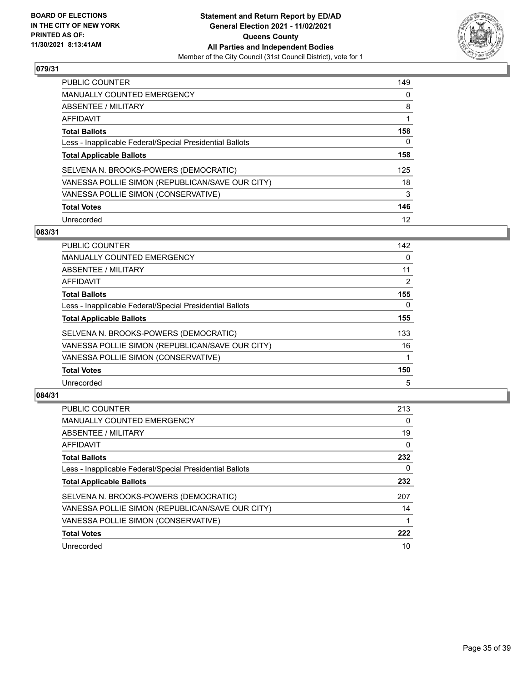

| <b>PUBLIC COUNTER</b>                                    | 149 |
|----------------------------------------------------------|-----|
| <b>MANUALLY COUNTED EMERGENCY</b>                        | 0   |
| ABSENTEE / MILITARY                                      | 8   |
| AFFIDAVIT                                                |     |
| <b>Total Ballots</b>                                     | 158 |
| Less - Inapplicable Federal/Special Presidential Ballots | 0   |
| <b>Total Applicable Ballots</b>                          | 158 |
| SELVENA N. BROOKS-POWERS (DEMOCRATIC)                    | 125 |
| VANESSA POLLIE SIMON (REPUBLICAN/SAVE OUR CITY)          | 18  |
| VANESSA POLLIE SIMON (CONSERVATIVE)                      | 3   |
| <b>Total Votes</b>                                       | 146 |
| Unrecorded                                               | 12  |

#### **083/31**

| <b>PUBLIC COUNTER</b>                                    | 142      |
|----------------------------------------------------------|----------|
| <b>MANUALLY COUNTED EMERGENCY</b>                        | 0        |
| ABSENTEE / MILITARY                                      | 11       |
| <b>AFFIDAVIT</b>                                         | 2        |
| <b>Total Ballots</b>                                     | 155      |
| Less - Inapplicable Federal/Special Presidential Ballots | $\Omega$ |
| <b>Total Applicable Ballots</b>                          | 155      |
| SELVENA N. BROOKS-POWERS (DEMOCRATIC)                    | 133      |
| VANESSA POLLIE SIMON (REPUBLICAN/SAVE OUR CITY)          | 16       |
| VANESSA POLLIE SIMON (CONSERVATIVE)                      |          |
| <b>Total Votes</b>                                       | 150      |
| Unrecorded                                               | 5        |

| PUBLIC COUNTER                                           | 213      |
|----------------------------------------------------------|----------|
| <b>MANUALLY COUNTED EMERGENCY</b>                        | $\Omega$ |
| ABSENTEE / MILITARY                                      | 19       |
| AFFIDAVIT                                                | $\Omega$ |
| <b>Total Ballots</b>                                     | 232      |
| Less - Inapplicable Federal/Special Presidential Ballots | 0        |
| <b>Total Applicable Ballots</b>                          | 232      |
| SELVENA N. BROOKS-POWERS (DEMOCRATIC)                    | 207      |
| VANESSA POLLIE SIMON (REPUBLICAN/SAVE OUR CITY)          | 14       |
| VANESSA POLLIE SIMON (CONSERVATIVE)                      |          |
| <b>Total Votes</b>                                       | 222      |
| Unrecorded                                               | 10       |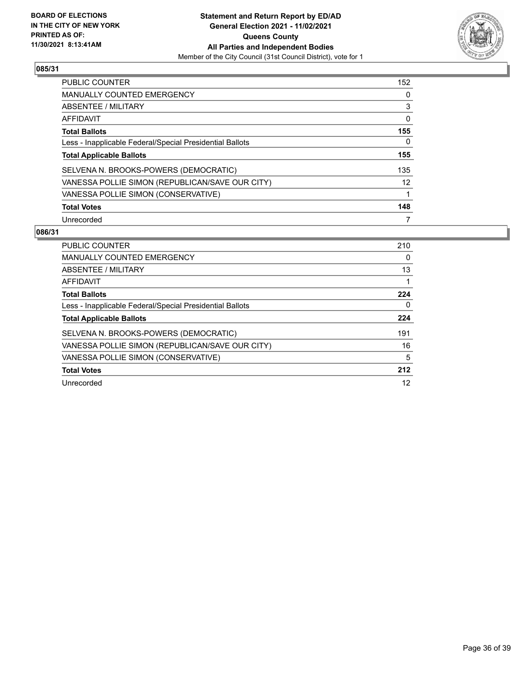

| <b>PUBLIC COUNTER</b>                                    | 152 |
|----------------------------------------------------------|-----|
| <b>MANUALLY COUNTED EMERGENCY</b>                        | 0   |
| ABSENTEE / MILITARY                                      | 3   |
| AFFIDAVIT                                                | 0   |
| <b>Total Ballots</b>                                     | 155 |
| Less - Inapplicable Federal/Special Presidential Ballots | 0   |
| <b>Total Applicable Ballots</b>                          | 155 |
| SELVENA N. BROOKS-POWERS (DEMOCRATIC)                    | 135 |
| VANESSA POLLIE SIMON (REPUBLICAN/SAVE OUR CITY)          | 12  |
| VANESSA POLLIE SIMON (CONSERVATIVE)                      |     |
| <b>Total Votes</b>                                       | 148 |
| Unrecorded                                               |     |

| <b>PUBLIC COUNTER</b>                                    | 210 |
|----------------------------------------------------------|-----|
| <b>MANUALLY COUNTED EMERGENCY</b>                        | 0   |
| ABSENTEE / MILITARY                                      | 13  |
| AFFIDAVIT                                                |     |
| <b>Total Ballots</b>                                     | 224 |
| Less - Inapplicable Federal/Special Presidential Ballots | 0   |
| <b>Total Applicable Ballots</b>                          | 224 |
| SELVENA N. BROOKS-POWERS (DEMOCRATIC)                    | 191 |
| VANESSA POLLIE SIMON (REPUBLICAN/SAVE OUR CITY)          | 16  |
| VANESSA POLLIE SIMON (CONSERVATIVE)                      | 5   |
| <b>Total Votes</b>                                       | 212 |
| Unrecorded                                               | 12  |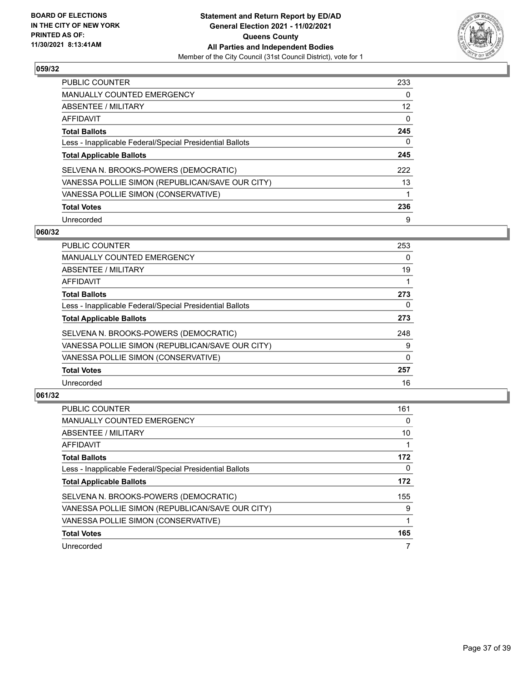

| PUBLIC COUNTER                                           | 233 |
|----------------------------------------------------------|-----|
| <b>MANUALLY COUNTED EMERGENCY</b>                        | 0   |
| ABSENTEE / MILITARY                                      | 12  |
| AFFIDAVIT                                                | 0   |
| <b>Total Ballots</b>                                     | 245 |
| Less - Inapplicable Federal/Special Presidential Ballots | 0   |
| <b>Total Applicable Ballots</b>                          | 245 |
| SELVENA N. BROOKS-POWERS (DEMOCRATIC)                    | 222 |
| VANESSA POLLIE SIMON (REPUBLICAN/SAVE OUR CITY)          | 13  |
| VANESSA POLLIE SIMON (CONSERVATIVE)                      |     |
| <b>Total Votes</b>                                       | 236 |
| Unrecorded                                               | 9   |

#### **060/32**

| <b>PUBLIC COUNTER</b>                                    | 253      |
|----------------------------------------------------------|----------|
| <b>MANUALLY COUNTED EMERGENCY</b>                        | 0        |
| ABSENTEE / MILITARY                                      | 19       |
| AFFIDAVIT                                                |          |
| <b>Total Ballots</b>                                     | 273      |
| Less - Inapplicable Federal/Special Presidential Ballots | 0        |
| <b>Total Applicable Ballots</b>                          | 273      |
| SELVENA N. BROOKS-POWERS (DEMOCRATIC)                    | 248      |
| VANESSA POLLIE SIMON (REPUBLICAN/SAVE OUR CITY)          | 9        |
| VANESSA POLLIE SIMON (CONSERVATIVE)                      | $\Omega$ |
| <b>Total Votes</b>                                       | 257      |
| Unrecorded                                               | 16       |
|                                                          |          |

| <b>PUBLIC COUNTER</b>                                    | 161      |
|----------------------------------------------------------|----------|
| <b>MANUALLY COUNTED EMERGENCY</b>                        | $\Omega$ |
| ABSENTEE / MILITARY                                      | 10       |
| AFFIDAVIT                                                |          |
| <b>Total Ballots</b>                                     | 172      |
| Less - Inapplicable Federal/Special Presidential Ballots | 0        |
| <b>Total Applicable Ballots</b>                          | 172      |
| SELVENA N. BROOKS-POWERS (DEMOCRATIC)                    | 155      |
| VANESSA POLLIE SIMON (REPUBLICAN/SAVE OUR CITY)          | 9        |
| VANESSA POLLIE SIMON (CONSERVATIVE)                      | 1        |
| <b>Total Votes</b>                                       | 165      |
| Unrecorded                                               |          |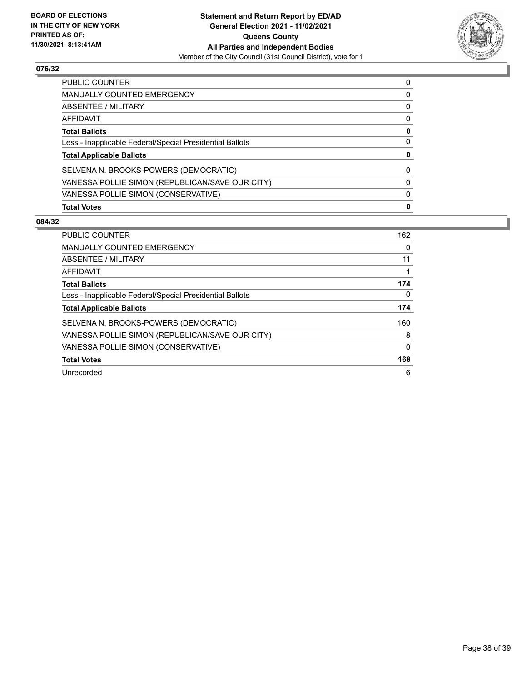

| PUBLIC COUNTER                                           | 0 |
|----------------------------------------------------------|---|
| <b>MANUALLY COUNTED EMERGENCY</b>                        | 0 |
| ABSENTEE / MILITARY                                      | 0 |
| AFFIDAVIT                                                | 0 |
| <b>Total Ballots</b>                                     | 0 |
| Less - Inapplicable Federal/Special Presidential Ballots | 0 |
| <b>Total Applicable Ballots</b>                          | 0 |
| SELVENA N. BROOKS-POWERS (DEMOCRATIC)                    | 0 |
| VANESSA POLLIE SIMON (REPUBLICAN/SAVE OUR CITY)          | 0 |
| VANESSA POLLIE SIMON (CONSERVATIVE)                      | 0 |
| <b>Total Votes</b>                                       | 0 |

| PUBLIC COUNTER                                           | 162 |
|----------------------------------------------------------|-----|
| <b>MANUALLY COUNTED EMERGENCY</b>                        | 0   |
| ABSENTEE / MILITARY                                      | 11  |
| <b>AFFIDAVIT</b>                                         |     |
| <b>Total Ballots</b>                                     | 174 |
| Less - Inapplicable Federal/Special Presidential Ballots | 0   |
| <b>Total Applicable Ballots</b>                          | 174 |
| SELVENA N. BROOKS-POWERS (DEMOCRATIC)                    | 160 |
| VANESSA POLLIE SIMON (REPUBLICAN/SAVE OUR CITY)          | 8   |
| VANESSA POLLIE SIMON (CONSERVATIVE)                      | 0   |
| <b>Total Votes</b>                                       | 168 |
| Unrecorded                                               | 6   |